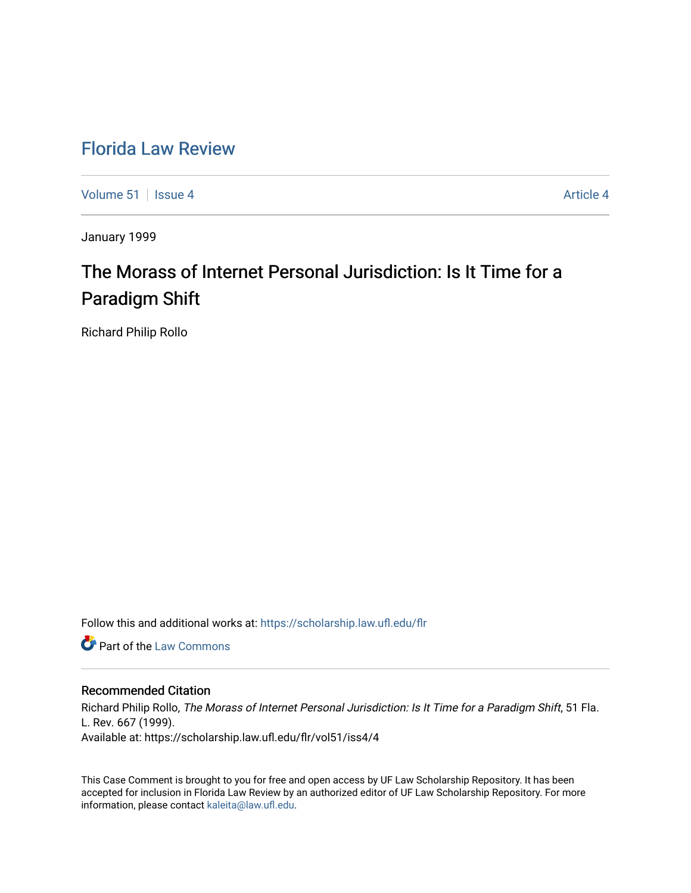# [Florida Law Review](https://scholarship.law.ufl.edu/flr)

[Volume 51](https://scholarship.law.ufl.edu/flr/vol51) | [Issue 4](https://scholarship.law.ufl.edu/flr/vol51/iss4) Article 4

January 1999

# The Morass of Internet Personal Jurisdiction: Is It Time for a Paradigm Shift

Richard Philip Rollo

Follow this and additional works at: [https://scholarship.law.ufl.edu/flr](https://scholarship.law.ufl.edu/flr?utm_source=scholarship.law.ufl.edu%2Fflr%2Fvol51%2Fiss4%2F4&utm_medium=PDF&utm_campaign=PDFCoverPages)

**Part of the [Law Commons](http://network.bepress.com/hgg/discipline/578?utm_source=scholarship.law.ufl.edu%2Fflr%2Fvol51%2Fiss4%2F4&utm_medium=PDF&utm_campaign=PDFCoverPages)** 

# Recommended Citation

Richard Philip Rollo, The Morass of Internet Personal Jurisdiction: Is It Time for a Paradigm Shift, 51 Fla. L. Rev. 667 (1999). Available at: https://scholarship.law.ufl.edu/flr/vol51/iss4/4

This Case Comment is brought to you for free and open access by UF Law Scholarship Repository. It has been accepted for inclusion in Florida Law Review by an authorized editor of UF Law Scholarship Repository. For more information, please contact [kaleita@law.ufl.edu.](mailto:kaleita@law.ufl.edu)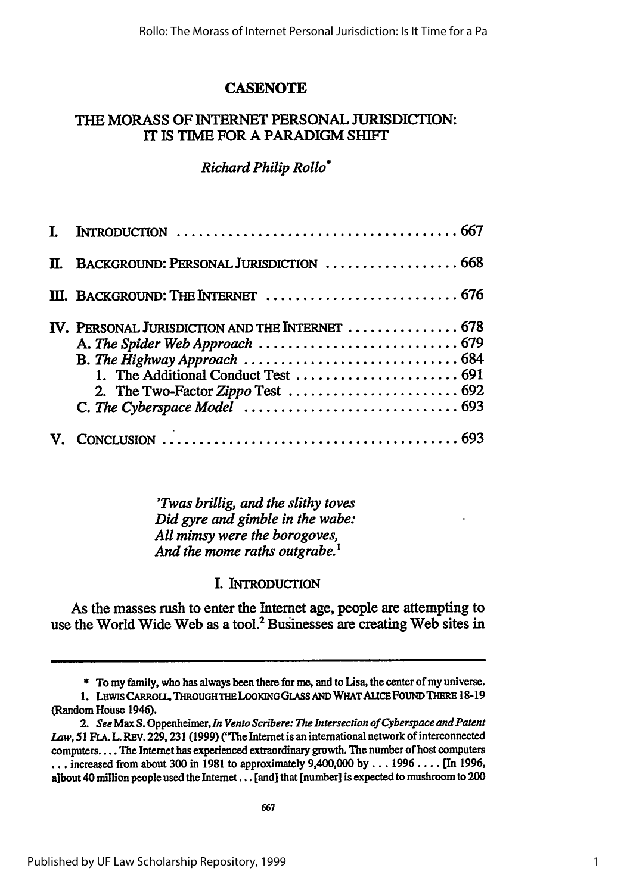# **CASENOTE**

# THE MORASS OF INTERNET **PERSONAL** JURISDICTION: **IT IS** TIME FOR **A** PARADIGM **SHIFT**

# *Richard Philip Rollo*

| Π. | BACKGROUND: PERSONAL JURISDICTION  668                                                                                                                                                                                                               |  |
|----|------------------------------------------------------------------------------------------------------------------------------------------------------------------------------------------------------------------------------------------------------|--|
|    |                                                                                                                                                                                                                                                      |  |
|    | IV. PERSONAL JURISDICTION AND THE INTERNET  678<br>B. The Highway Approach $\ldots \ldots \ldots \ldots \ldots \ldots \ldots \ldots \ldots \ldots \ldots 684$<br>2. The Two-Factor Zippo Test $\ldots \ldots \ldots \ldots \ldots \ldots \ldots$ 692 |  |
|    |                                                                                                                                                                                                                                                      |  |

*'Twas brillig, and the slithy toves Did gyre and gimble in the wabe: All mimsy were the borogoves, And the mome raths outgrabe.1*

# L INTRODUCTION

As the masses rush to enter the Internet age, people are attempting to use the World Wide Web as a tool.<sup>2</sup> Businesses are creating Web sites in

**<sup>\*</sup>** To my family, who has always been there for me, and to Lisa, the center of my universe.

**<sup>1.</sup>** LEwis CARROLL, THROUGHTHE LOOKING GLAss **AND** WHAT AUCE FOUND **THERE 18-19** (Random House 1946).

*<sup>2.</sup> See* Max **S.** Oppenheimer, *In Vento Scribere: The Intersection of Cyberspace and Patent Law, 51* **FLA.** L. REV. **229,231 (1999) ('he** Internet is an international network of interconnected computers .... The Internet has experienced extraordinary growth. The number of host computers **...** increased from about **300** in **1981** to approximately 9,400,000 **by... 1996** .... [In **1996,** albout 40 million people used the Internet... [and] that [number] is expected to mushroom to 200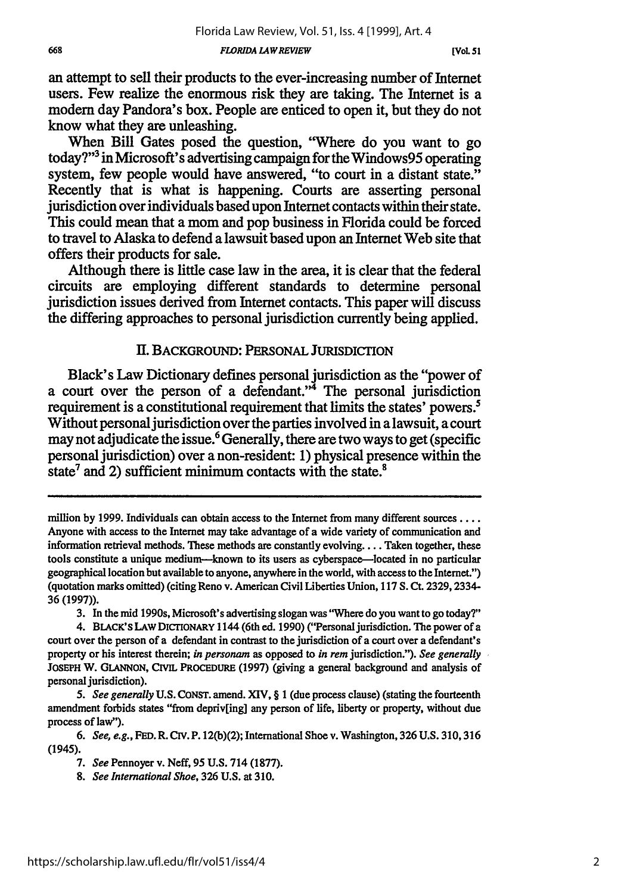an attempt to sell their products to the ever-increasing number of Internet users. Few realize the enormous risk they are taking. The Internet is a modem day Pandora's box. People are enticed to open it, but they do not know what they are unleashing.

When Bill Gates posed the question, "Where do you want to go today?"3 in Microsoft's advertising campaign for the Windows95 operating system, few people would have answered, "to court in a distant state." Recently that is what is happening. Courts are asserting personal jurisdiction over individuals based upon Internet contacts within their state. This could mean that a mom and pop business in Florida could be forced to travel to Alaska to defend a lawsuit based upon an Internet Web site that offers their products for sale.

Although there is little case law in the area, it is clear that the federal circuits are employing different standards to determine personal jurisdiction issues derived from Internet contacts. This paper will discuss the differing approaches to personal jurisdiction currently being applied.

## **II.** BACKGROUND: PERSONAL JURIsDICTION

Black's Law Dictionary defines personal jurisdiction as the "power of a court over the person of a defendant."4 The personal jurisdiction requirement is a constitutional requirement that limits the states' powers.<sup>5</sup> Without personal jurisdiction over the parties involved in a lawsuit, a court may not adjudicate the issue.<sup>6</sup> Generally, there are two ways to get (specific personal jurisdiction) over a non-resident: **1)** physical presence within the state<sup>7</sup> and 2) sufficient minimum contacts with the state. $8$ 

**3.** In the mid 1990s, Microsoft's advertising slogan was "Where do you want to go today?"

million **by 1999.** Individuals can obtain access to the Internet from many different **sources** .... Anyone with access to the Internet may take advantage of a wide variety of communication and information retrieval methods. These methods are constantly evolving ... Taken together, these tools constitute a unique medium---known to its users as cyberspace---located in no particular geographical location but available to anyone, anywhere in the world, with access to the Internet.") (quotation marks omitted) (citing Reno v. American Civil Liberties Union, 117 **S.** Ct. 2329, 2334- 36(1997)).

<sup>4.</sup> BLACK'S **LAW** DICrIONARY 1144 (6th ed. 1990) ("Personal jurisdiction. The power of a court over the person of a defendant in contrast to the jurisdiction of a court over a defendant's property or his interest therein; *in personam* as opposed to *in rem* jurisdiction."). *See generally* **JOSEPH** W. **GLANNON, CIVIL PROCEDURE** (1997) (giving a general background and analysis of personal jurisdiction).

*<sup>5.</sup> See generally* U.S. **CONST.** amend. XIV, § **I** (due process clause) (stating the fourteenth amendment forbids states "from depriv[ing] any person of life, liberty or property, without due process of law").

*<sup>6.</sup> See, e.g.,* **FED.** R. **CIv.** P. 12(b)(2); International Shoe v. Washington, **326** U.S. 310,316 (1945).

*<sup>7.</sup> See* Pennoyer v. Neff, 95 U.S. 714 (1877).

*<sup>8.</sup> See International Shoe,* 326 U.S. at 310.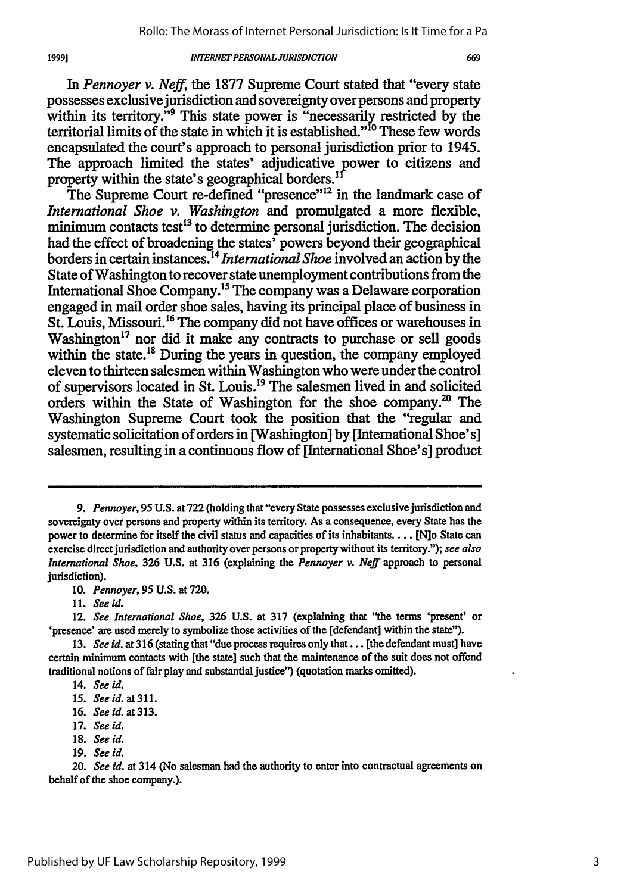*In Pennoyer v. Neff,* the 1877 Supreme Court stated that "every state possesses exclusive jurisdiction and sovereignty over persons and property within its territory."<sup>9</sup> This state power is "necessarily restricted by the territorial limits of the state in which it is established."<sup>10</sup> These few words encapsulated the court's approach to personal jurisdiction prior to 1945. The approach limited the states' adjudicative power to citizens and property within the state's geographical borders.<sup>11</sup>

The Supreme Court re-defined "presence"<sup>12</sup> in the landmark case of *International Shoe* v. Washington and promulgated a more flexible, *Internation minimum contacts test<sup>13</sup> to determine personal jurisdiction. The decision* had the effect of broadening the states' powers beyond their geographical borders in certain instances.14 *International Shoe* involved an action by the State of Washington to recover state unemployment contributions from the International Shoe Company.<sup>15</sup> The company was a Delaware corporation engaged in mail order shoe sales, having its principal place of business in St. Louis, Missouri.<sup>16</sup> The company did not have offices or warehouses in Washington<sup>17</sup> nor did it make any contracts to purchase or sell goods within the state.<sup>18</sup> During the years in question, the company employed eleven to thirteen salesmen within Washington who were under the control of supervisors located in St. Louis.'9 The salesmen lived in and solicited orders within the State of Washington for the shoe company.<sup>20</sup> The Washington Supreme Court took the position that the "regular and systematic solicitation of orders in [Washington] by [International Shoe's] salesmen, resulting in a continuous flow of [International Shoe's] product

*9. Pennoyer, 95* **U.S.** at **722** (holding that "every State possesses exclusivejurisdiction and sovereignty over persons and property within its territory. As a consequence, every State has the power to determine for itself the civil status and capacities of its inhabitants.... [N]o State can exercise direct jurisdiction and authority over persons or property without its territory."); *see also International Shoe,* **326 U.S.** at **316** (explaining the *Pennoyer v. Neff* approach to personal jurisdiction).

10. *Pennoyer,* 95 U.S. at 720.

11. *See id.*

12. *See International Shoe,* **326 U.S.** at 317 (explaining that "the terms 'present' or 'presence' are used merely to symbolize those activities of the [defendant] within the state").

- 17. *See id.*
- **18.** *See id.*
- 19. *See id.*

**<sup>13.</sup>** *See id.* at 316 (stating that"due process requires **only** that... [the defendant must] have certain minimum contacts with [the state] such that the maintenance of the suit does not offend traditional notions of fair play and substantial justice") (quotation marks omitted).

<sup>14.</sup> *See id.*

<sup>15.</sup> See id. at 311.

<sup>16.</sup> See id. at 313.

<sup>20.</sup> *See id.* at 314 (No salesman had the authority to enter into contractual agreements on behalf of the shoe company.).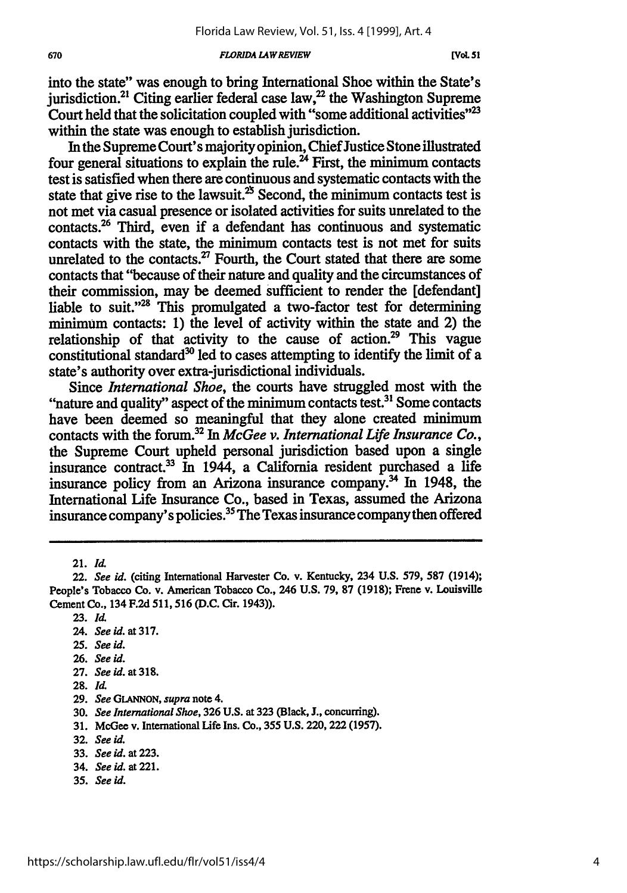into the state" was enough to bring International Shoe within the State's jurisdiction.<sup>21</sup> Citing earlier federal case law,<sup>22</sup> the Washington Supreme Court held that the solicitation coupled with "some additional activities" $^{23}$ within the state was enough to establish jurisdiction.

In the Supreme Court's majority opinion, Chief Justice Stone illustrated four general situations to explain the **rule.24** First, the minimum contacts test is satisfied when there are continuous and systematic contacts with the state that give rise to the lawsuit.<sup>25</sup> Second, the minimum contacts test is not met via casual presence or isolated activities for suits unrelated to the contacts.26 Third, even if a defendant has continuous and systematic contacts with the state, the minimum contacts test is not met for suits unrelated to the contacts.<sup>27</sup> Fourth, the Court stated that there are some contacts that "because of their nature and quality and the circumstances of their commission, may be deemed sufficient to render the [defendant] liable to suit." $28$  This promulgated a two-factor test for determining minimum contacts: 1) the level of activity within the state and 2) the relationship of that activity to the cause of action.<sup>29</sup> This vague constitutional standard<sup>30</sup> led to cases attempting to identify the limit of a state's authority over extra-jurisdictional individuals.

Since *International Shoe,* the courts have struggled most with the "nature and quality" aspect of the minimum contacts test.<sup>31</sup> Some contacts have been deemed so meaningful that they alone created minimum contacts with the forum.32 In *McGee v. International Life Insurance Co.,* the Supreme Court upheld personal jurisdiction based upon a single insurance contract.<sup>33</sup> In 1944, a California resident purchased a life insurance policy from an Arizona insurance company.<sup>34</sup> In 1948, the International Life Insurance Co., based in Texas, assumed the Arizona insurance company's policies.35 The Texas insurance company then offered

21. *Id*

- **25.** *See id.*
- **26.** *See id.*
- **27.** *See id.* **at318.**
- **28. Id.**
- **29.** *See* **GLANNON,** *supra* note 4.

- **31.** McGee v. International Life Ins. Co., 355 **U.S.** 220,222 **(1957).**
- **32.** *See id.*
- **33.** *See id.* at **223.**
- 34. *See id.* at 221.
- **35.** *See* **id.**

<sup>22.</sup> *See id.* (citing International Harvester Co. v. Kentucky, 234 **U.S. 579,** *587* (1914); People's Tobacco Co. v. American Tobacco Co., 246 **U.S. 79, 87** (1918); Frene v. Louisville Cement Co., 134 **F.2d** 511,516 **(D.C.** Cir. 1943)).

**<sup>23.</sup>** *ld.*

<sup>24.</sup> *See id. at 317.*

**<sup>30.</sup>** *See International Shoe,* **326 U.S.** at **323** (Black, *3.,* concurring).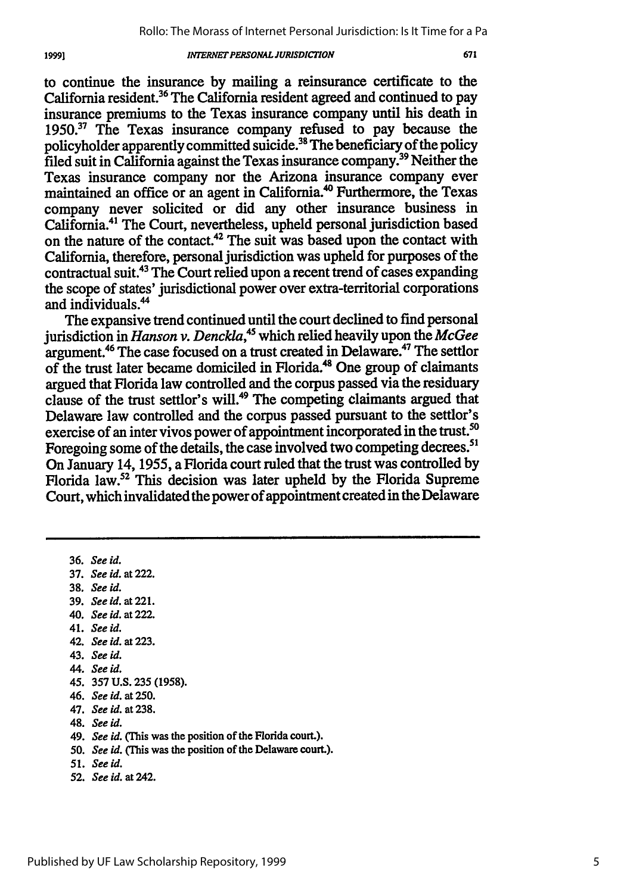1999]

to continue the insurance **by** mailing a reinsurance certificate to the California resident.<sup>36</sup> The California resident agreed and continued to pay insurance premiums to the Texas insurance company until his death in **1950.37** The Texas insurance company refused to pay because the policyholder apparently committed suicide.<sup>38</sup> The beneficiary of the policy filed suit in California against the Texas insurance company.39 Neither the Texas insurance company nor the Arizona insurance company ever maintained an office or an agent in California.<sup>40</sup> Furthermore, the Texas company never solicited or did any other insurance business in California.<sup>41</sup> The Court, nevertheless, upheld personal jurisdiction based on the nature of the contact.<sup>42</sup> The suit was based upon the contact with California, therefore, personal jurisdiction was upheld for purposes of the contractual suit.<sup>43</sup> The Court relied upon a recent trend of cases expanding the scope of states' jurisdictional power over extra-territorial corporations and individuals.<sup>44</sup>

The expansive trend continued until the court declined to find personal jurisdiction in *Hanson v. Denckla,45* which relied heavily upon the *McGee* argument.<sup>46</sup> The case focused on a trust created in Delaware.<sup>47</sup> The settlor of the trust later became domiciled in Florida.<sup>48</sup> One group of claimants argued that Florida law controlled and the corpus passed via the residuary clause of the trust settlor's will.<sup>49</sup> The competing claimants argued that Delaware law controlled and the corpus passed pursuant to the settlor's exercise of an inter vivos power of appointment incorporated in the trust.<sup>50</sup> Foregoing some of the details, the case involved two competing decrees.<sup>51</sup> On January 14, 1955, a Florida court ruled that the trust was controlled by Florida law.52 This decision was later upheld by the Florida Supreme Court, which invalidated the power of appointment created in the Delaware

**36.** *See id.* 37. *See id.* at 222. 38. *See id.* **39.** *See id.* at 221. 40. *See id.* at 222. 41. *See id.* 42. *See id.* at **223.** 43. *See id.* 44. *See id.* 45. 357 **U.S. 235** (1958). 46. *See id.* at 250. 47. *See id.* **at238.** 48. *See id.* 49. *See id.* (This was the position of the Florida court.). 50. *See id.* (This was the position of the Delaware court.). *51. See id.* **52.** *See id. at* 242.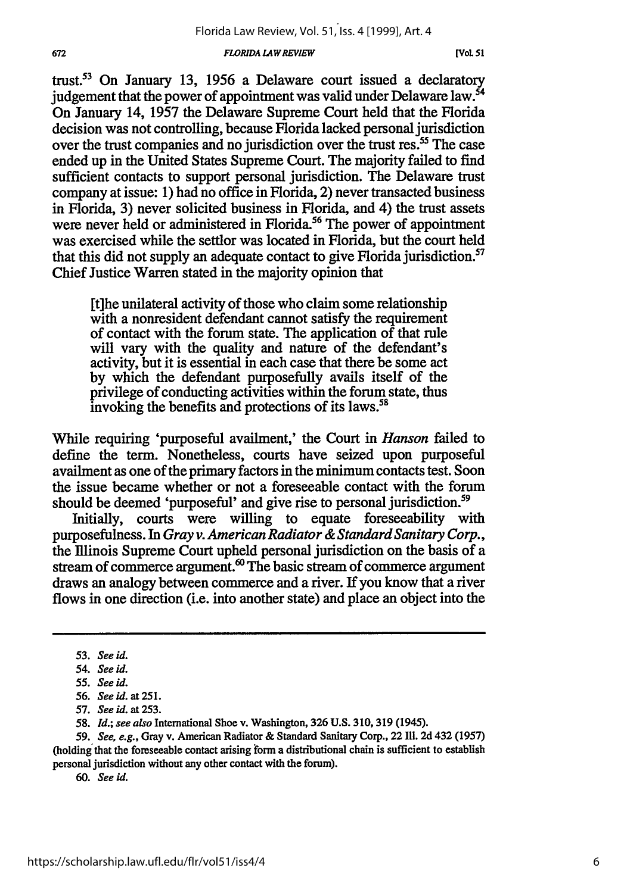trust.5 3 On January **13, 1956** a Delaware court issued a declaratory judgement that the power of appointment was valid under Delaware law.<sup>54</sup> On January 14, **1957** the Delaware Supreme Court held that the Florida decision was not controlling, because Florida lacked personal jurisdiction over the trust companies and no jurisdiction over the trust res.<sup>55</sup> The case ended up in the United States Supreme Court. The majority failed to find sufficient contacts to support personal jurisdiction. The Delaware trust company at issue: 1) had no office in Florida, 2) never transacted business in Florida, **3)** never solicited business in Florida, and 4) the trust assets were never held or administered in Florida.<sup>56</sup> The power of appointment was exercised while the settlor was located in Florida, but the court held that this did not supply an adequate contact to give Florida jurisdiction.<sup>57</sup> Chief Justice Warren stated in the majority opinion that

[t]he unilateral activity of those who claim some relationship with a nonresident defendant cannot satisfy the requirement of contact with the forum state. The application of that rule will vary with the quality and nature of the defendant's activity, but it is essential in each case that there be some act **by** which the defendant purposefully avails itself of the privilege of conducting activities within the forum state, thus invoking the benefits and protections of its laws.<sup>58</sup>

While requiring 'purposeful availment,' the Court in *Hanson* failed to define the term. Nonetheless, courts have seized upon purposeful availment as one of the primary factors in the minimum contacts test. Soon the issue became whether or not a foreseeable contact with the forum should be deemed 'purposeful' and give rise to personal jurisdiction.<sup>59</sup>

Initially, courts were willing to equate foreseeability with purposefulness. In *Gray v. American Radiator & Standard Sanitary Corp.,* the Illinois Supreme Court upheld personal jurisdiction on the basis of a stream of commerce argument.<sup> $\infty$ </sup> The basic stream of commerce argument draws an analogy between commerce and a river. If you know that a river flows in one direction (i.e. into another state) and place an object into the

**59. See,** *e.g.,* Gray v. American Radiator **&** Standard Sanitary Corp., 22 **111. 2d** 432 **(1957)** (holding'that the foreseeable contact arising **form** a distributional chain is sufficient to establish

personal jurisdiction without any other contact with the forum).

**60. See** *id.*

**<sup>53.</sup> See id.**

*<sup>54.</sup>* **See** *id.*

**<sup>55.</sup> See** *id.*

**<sup>56.</sup> See id. at 251.**

**<sup>57.</sup> See id. at 253.**

**<sup>58.</sup>** *Id.;* **see** *also* International Shoe v. Washington, **326 U.S. 310,319** (1945).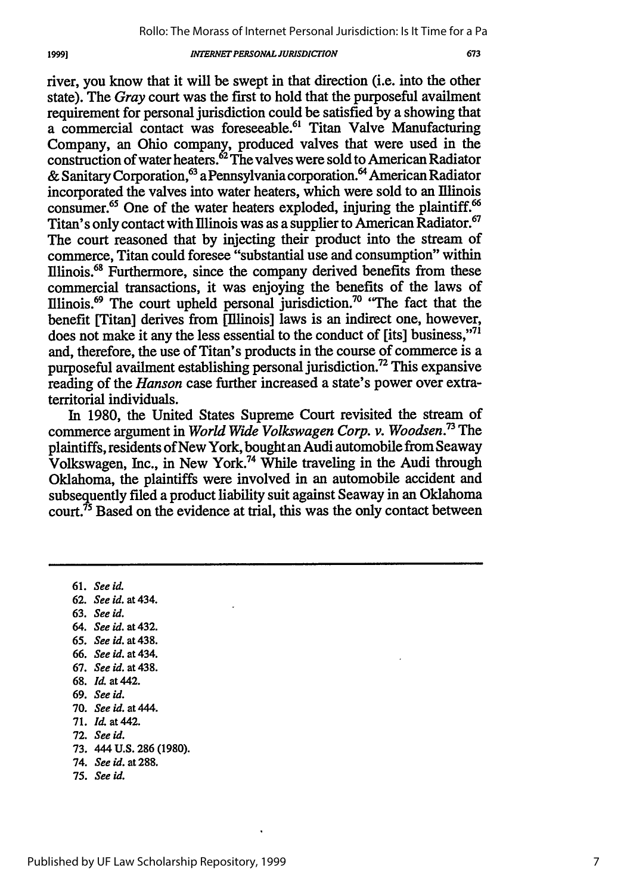river, you know that it will be swept in that direction (i.e. into the other state). The *Gray* court was the first to hold that the purposeful availment requirement for personal jurisdiction could be satisfied by a showing that a commercial contact was foreseeable.<sup>61</sup> Titan Valve Manufacturing Company, an Ohio company, produced valves that were used in the construction of water heaters.62 The valves were sold to American Radiator & Sanitary Corporation,<sup>63</sup> a Pennsylvania corporation.<sup>64</sup> American Radiator incorporated the valves into water heaters, which were sold to an Illinois consumer.<sup>65</sup> One of the water heaters exploded, injuring the plaintiff.<sup>66</sup> Titan's only contact with Illinois was as a supplier to American Radiator.<sup>67</sup> The court reasoned that by injecting their product into the stream of commerce, Titan could foresee "substantial use and consumption" within Illinois.6' Furthermore, since the company derived benefits from these commercial transactions, it was enjoying the benefits of the laws of Illinois. 69 The court upheld personal jurisdiction.70 "The fact that the benefit [Titan] derives from [Illinois] laws is an indirect one, however, does not make it any the less essential to the conduct of [its] business,"<sup>71</sup> and, therefore, the use of Titan's products in the course of commerce is a purposeful availment establishing personal jurisdiction.72 This expansive reading of the *Hanson* case further increased a state's power over extraterritorial individuals.

In 1980, the United States Supreme Court revisited the stream of commerce argument in *World Wide Volkswagen Corp. v. Woodsen.73 The* plaintiffs, residents of New York, bought an Audi automobile from Seaway Volkswagen, Inc., in New York.74 While traveling in the Audi through Oklahoma, the plaintiffs were involved in an automobile accident and subsequently filed a product liability suit against Seaway in an Oklahoma court.<sup> $75$ </sup> Based on the evidence at trial, this was the only contact between

61. *See id.*

- **62.** *See id. at* 434.
- 63. *See id.*
- 64. *See id.* at 432.
- 65. *See id.* at 438.
- 66. *See id.* at 434.
- **67.** *See id. at* 438.
- 68. *Id.* at 442.
- 69. *See id.*
- **70.** *See id. at* 444.
- 71. *Id.* at 442.
- **72.** *See id.*
- 73. 444 U.S. **286** (1980).
- 74. *See id.* at 288.
- 75. *See id.*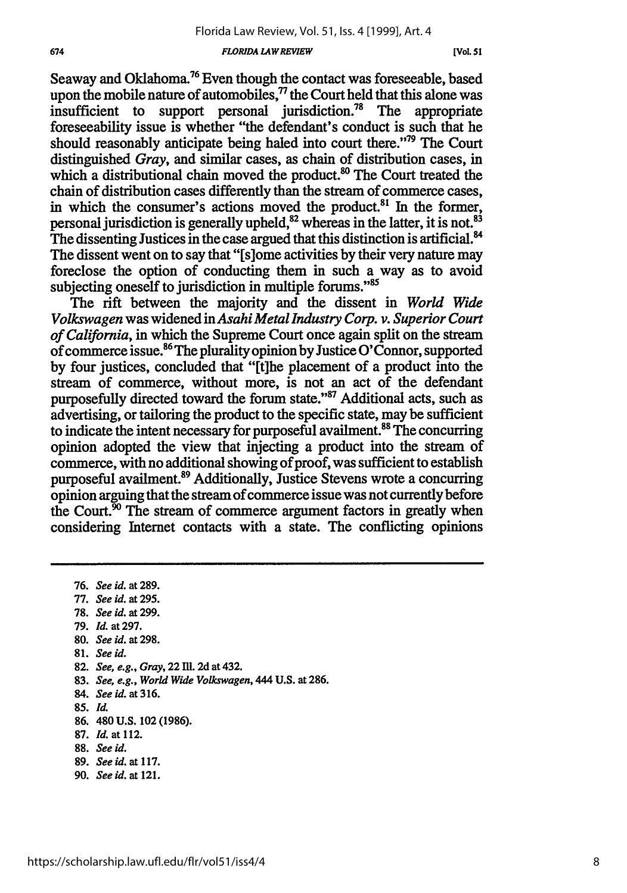Seaway and Oklahoma.<sup>76</sup> Even though the contact was foreseeable, based upon the mobile nature of automobiles, $\eta$  the Court held that this alone was insufficient to support personal jurisdiction.<sup>78</sup> The appropriate foreseeability issue is whether "the defendant's conduct is such that he should reasonably anticipate being haled into court there."'79 The Court distinguished *Gray,* and similar cases, as chain of distribution cases, in which a distributional chain moved the product.<sup>80</sup> The Court treated the chain of distribution cases differently than the stream of commerce cases, in which the consumer's actions moved the product. $81$  In the former, personal jurisdiction is generally upheld,  $82$  whereas in the latter, it is not.  $83$ The dissenting Justices in the case argued that this distinction is artificial.<sup>84</sup> The dissent went on to say that "[s]ome activities by their very nature may foreclose the option of conducting them in such a way as to avoid subjecting oneself to jurisdiction in multiple forums."<sup>85</sup>

The rift between the majority and the dissent in *World Wide Volkswagen* was widened in *Asahi Metal Industry Corp. v. Superior Court of California,* in which the Supreme Court once again split on the stream of commerce issue.<sup>86</sup> The plurality opinion by Justice O'Connor, supported by four justices, concluded that "[t]he placement of a product into the stream of commerce, without more, is not an act of the defendant purposefully directed toward the forum state."87 Additional acts, such as advertising, or tailoring the product to the specific state, may be sufficient to indicate the intent necessary for purposeful availment.<sup>88</sup> The concurring opinion adopted the view that injecting a product into the stream of commerce, with no additional showing of proof, was sufficient to establish purposeful availment.89 Additionally, Justice Stevens wrote a concurring opinion arguing that the stream of commerce issue was not currently before the Court.<sup>90</sup> The stream of commerce argument factors in greatly when considering Internet contacts with a state. The conflicting opinions

76. *See* id. at **289.** 77. *See id. at* **295. 78.** *See* id. *at* **299.** 79. *Id.* at **297. 80.** *See id.* at **298. 81.** *See id.* **82.** *See, e.g., Gray,* **22 11. 2d** at 432. **83.** *See, e.g., World Wide Volkswagen,* 444 **U.S.** at **286.** 84. *Seeid.* **at316. 85.** *Id.* **86.** 480 **U.S.** 102 **(1986). 87.** *Id.* at 112. **88.** *See id.* **89.** *See id.* at **117. 90.** *See* id. *at* 121.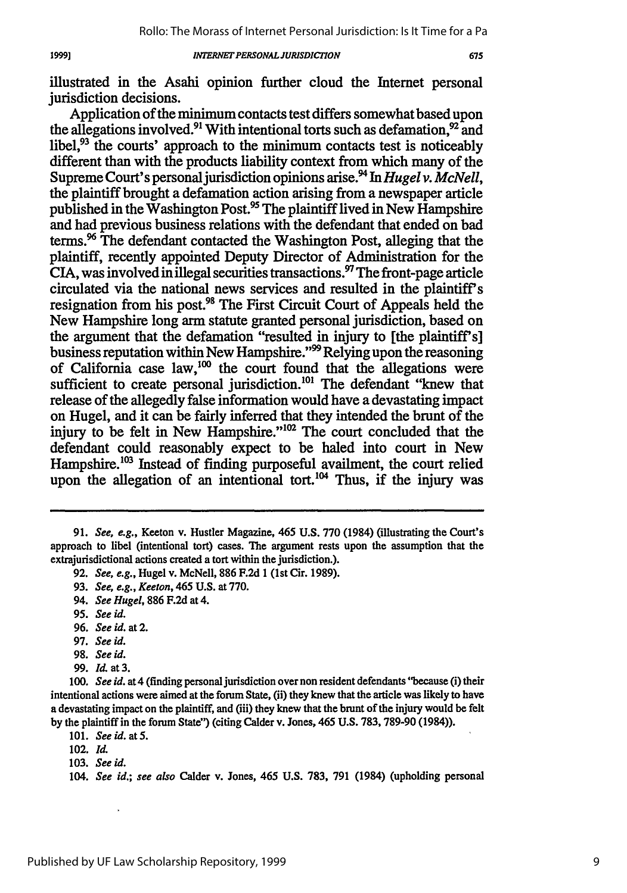675

illustrated in the Asahi opinion further cloud the Internet personal jurisdiction decisions.

Application of the minimum contacts test differs somewhat based upon the allegations involved.<sup>91</sup> With intentional torts such as defamation.<sup>92</sup> and libel,<sup>93</sup> the courts' approach to the minimum contacts test is noticeably different than with the products liability context from which many of the Supreme Court's personal jurisdiction opinions arise.<sup>94</sup> In *Hugel v. McNell*, the plaintiff brought a defamation action arising from a newspaper article published in the Washington Post.<sup>95</sup> The plaintiff lived in New Hampshire and had previous business relations with the defendant that ended on bad terms." The defendant contacted the Washington Post, alleging that the plaintiff, recently appointed Deputy Director of Administration for the CIA, was involved in illegal securities transactions.<sup>97</sup> The front-page article circulated via the national news services and resulted in the plaintiff's resignation from his post.<sup>98</sup> The First Circuit Court of Appeals held the New Hampshire long arm statute granted personal jurisdiction, based on the argument that the defamation "resulted in injury to [the plaintiff's] business reputation within New Hampshire."<sup>99</sup> Relying upon the reasoning of California case law,<sup>100</sup> the court found that the allegations were sufficient to create personal jurisdiction.<sup>101</sup> The defendant "knew that release of the allegedly false information would have a devastating impact on Hugel, and it can be fairly inferred that they intended the brunt of the injury to be felt in New Hampshire."<sup>102</sup> The court concluded that the defendant could reasonably expect to be haled into court in New Hampshire.<sup>103</sup> Instead of finding purposeful availment, the court relied upon the allegation of an intentional tort.<sup>104</sup> Thus, if the injury was

**95.** *See id.*

19991

**96.** *See id.* at 2.

- **97.** *See id.*
- **98.** *See* **id.**
- **99. Id.** at **3.**

**100.** *See id.* at4 (finding personal jurisdiction over non resident defendants "because (i) their intentional actions were aimed at the forum State, (ii) they knew that the article was likely to have a devastating impact on the plaintiff, and (iii) they knew that the brunt of the injury would be felt **by** the plaintiff in the forum State") (citing Calder v. Jones, 465 **U.S.** 783, 789-90 (1984)).

<sup>91.</sup> *See, e.g.,* Keeton v. Hustler Magazine, 465 **U.S.** 770 (1984) (illustrating the Court's approach to libel (intentional tort) cases. The argument rests upon the assumption that the extrajurisdictional actions created a tort within the jurisdiction.).

**<sup>92.</sup>** *See, e.g.,* Hugel **v.** McNell, **886 F.2d 1** (1st Cir. **1989).**

**<sup>93.</sup>** *See, e.g., Keeton,* 465 **U.S.** at **770.**

<sup>94.</sup> *See Hugel,* **886 F.2d** at 4.

<sup>101.</sup> *See id. at5.*

<sup>102.</sup> Id.

<sup>103.</sup> *See* **id.**

*<sup>104.</sup> See id.; see also* Calder v. Jones, 465 **U.S.** 783, 791 (1984) (upholding personal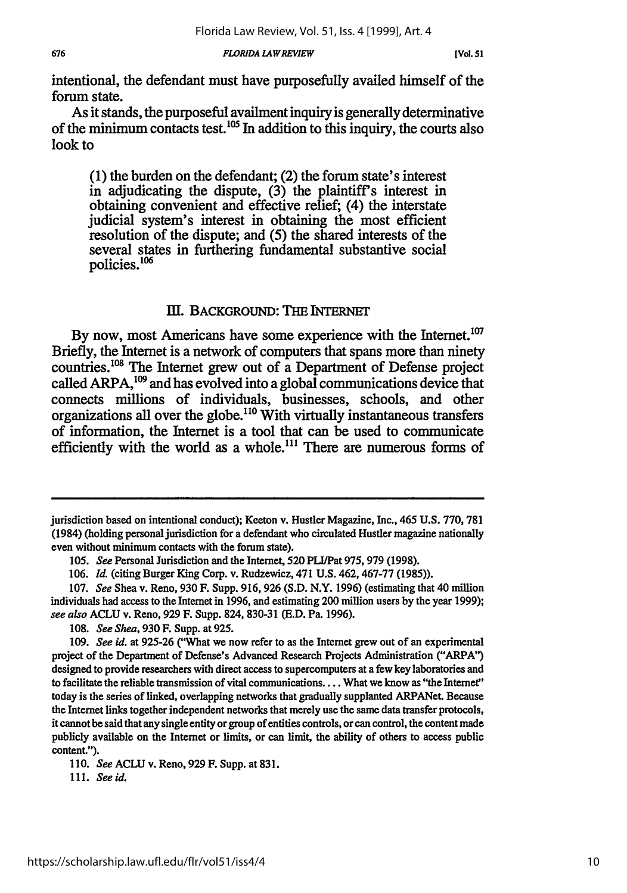intentional, the defendant must have purposefully availed himself of the forum state.

As it stands, the purposeful availment inquiry is generally determinative of the minimum contacts test.  $^{105}$  In addition to this inquiry, the courts also look to

**(1)** the burden on the defendant; (2) the forum state's interest in adjudicating the dispute, **(3)** the plaintiff's interest in obtaining convenient and effective relief; (4) the interstate judicial system's interest in obtaining the most efficient resolution of the dispute; and **(5)** the shared interests of the several states in furthering fundamental substantive social policies.<sup>106</sup>

### **IIl.** BACKGROUND: THE INTERNET

By now, most Americans have some experience with the Internet.<sup>107</sup> Briefly, the Internet is a network of computers that spans more than ninety countries.<sup>108</sup> The Internet grew out of a Department of Defense project called ARPA,<sup>109</sup> and has evolved into a global communications device that connects millions of individuals, businesses, schools, and other organizations all over the globe.<sup>110</sup> With virtually instantaneous transfers of information, the Internet is a tool that can be used to communicate efficiently with the world as a whole.<sup>111</sup> There are numerous forms of

**108.** *See Shea,* 930 F. Supp. at 925.

**111.** *See id.*

jurisdiction based on intentional conduct); Keeton v. Hustler Magazine, Inc., 465 U.S. 770, **781** (1984) (holding personal jurisdiction for a defendant who circulated Hustler magazine nationally even without minimum contacts with the forum state).

*<sup>105.</sup> See* Personal Jurisdiction and the Internet, **520** PLI/Pat 975,979 (1998).

<sup>106.</sup> *Id.* (citing Burger King Corp. v. Rudzewicz, 471 U.S. 462,467-77 (1985)).

<sup>107.</sup> *See* Shea v. Reno, 930 F. Supp. 916, 926 (S.D. N.Y. 1996) (estimating that 40 million individuals had access to the Internet in **1996,** and estimating 200 million users **by** the year **1999);** *see also* **ACLU** v. Reno, **929** F. Supp. 824, 830-31 (E.D. Pa. 1996).

*<sup>109.</sup> See id.* at 925-26 ("What we now refer to as the Internet grew out of an experimental project of the Department of Defense's Advanced Research Projects Administration ("ARPA") designed to provide researchers with direct access to supercomputers at a few key laboratories and to facilitate the reliable transmission of vital communications .... What we know as "the Internet" today is the series of linked, overlapping networks that gradually supplanted ARPANet. Because the Internet links together independent networks that merely use the same data transfer protocols, it cannot be said that any single entity or group of entities controls, or can control, the content made publicly available on the Internet or limits, or can limit, the ability of others to access public content.").

**<sup>110.</sup>** SeeACLUv. Reno,929 F. Supp. at **831.**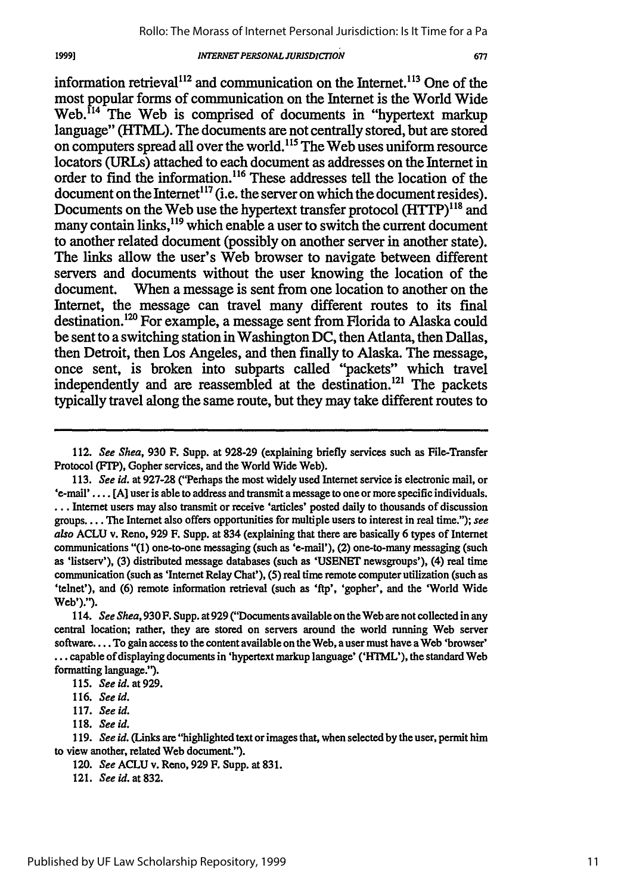1999]

### *INTERNET PERSONAL JURISDICION*

677

information retrieval<sup>112</sup> and communication on the Internet.<sup>113</sup> One of the most popular forms of communication on the Internet is the World Wide Web.<sup>114</sup> The Web is comprised of documents in "hypertext markup" language" (HTML). The documents are not centrally stored, but are stored on computers spread all over the world."15 The Web uses uniform resource locators (URLs) attached to each document as addresses on the Internet in order to find the information.<sup>116</sup> These addresses tell the location of the document on the Internet<sup>117</sup> (i.e. the server on which the document resides). Documents on the Web use the hypertext transfer protocol  $(HTTP)^{118}$  and many contain links,<sup>119</sup> which enable a user to switch the current document to another related document (possibly on another server in another state). The links allow the user's Web browser to navigate between different servers and documents without the user knowing the location of the document. When a message is sent from one location to another on the Internet, the message can travel many different routes to its final destination.<sup>120</sup> For example, a message sent from Florida to Alaska could be sent to a switching station in Washington **DC,** then Atlanta, then Dallas, then Detroit, then Los Angeles, and then finally to Alaska. The message, once sent, is broken into subparts called "packets" which travel independently and are reassembled at the destination.<sup>121</sup> The packets typically travel along the same route, but they may take different routes to

112. See Shea, 930 F. Supp. at 928-29 (explaining briefly services such as File-Transfer Protocol (FTP), Gopher services, and the World Wide Web).

113. See id. at 927-28 ("Perhaps the most widely used Internet service is electronic mail, or  $'e$ -mail'.... [A] user is able to address and transmit a message to one or more specific individuals. **\*..** Internet users may also transmit or receive 'articles' posted daily to thousands of discussion groups.... The Internet also offers opportunities for multiple users to interest in real time."); see also ACLU v. Reno, 929 **F.** Supp. at 834 (explaining that there are basically 6 types of Internet communications "(1) one-to-one messaging (such as 'e-mail'), (2) one-to-many messaging (such as 'listserv'), (3) distributed message databases (such as **'USENET** newsgroups'), (4) real time communication (such as 'Internet Relay Chat'), (5) real time remote computer utilization (such as 'telnet'), and **(6)** remote information retrieval (such as **'ftp',** 'gopher', and the 'World Wide Web').').

114. See Shea, 930 F. Supp. at 929 ("Documents available on the Web are not collected in any central location; rather, they are stored on servers around the world running Web server software.... To gain access to the content available on the Web, a user must have a Web 'browser' **...** capable of displaying documents in 'hypertext markup language' ('HTML'), the standard Web formatting language.').

**115.** Seeid.at929.

**117.** See id.

**118.** See id.

**119.** See id. **(Links are "highlighted** text or images that, when selected **by** the user, permit him to view another, related Web document.").

120. See ACLU v. Reno, **929** F. Supp. at 831.

121. *See* id. at **832.**

**<sup>116.</sup>** See id.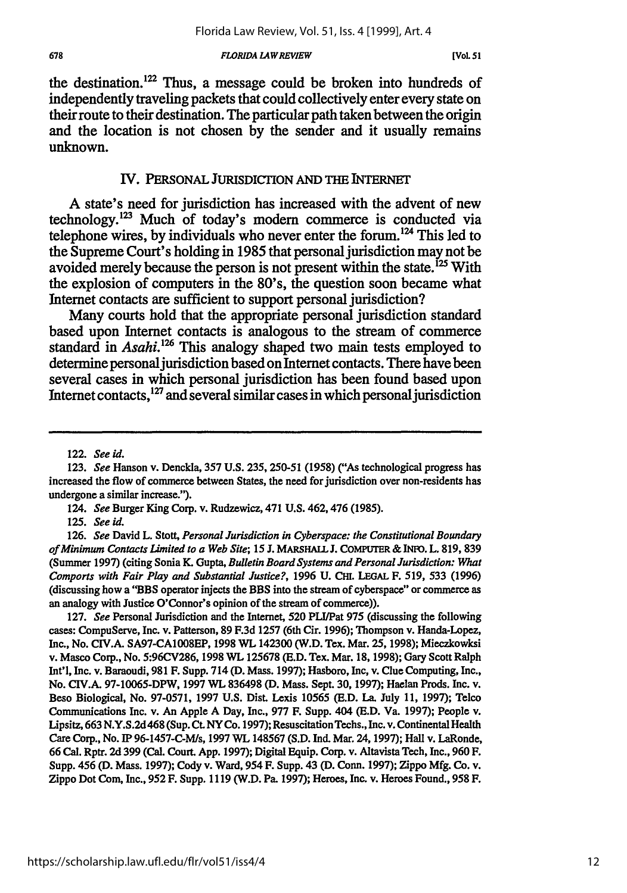the destination.<sup>122</sup> Thus, a message could be broken into hundreds of independently traveling packets that could collectively enter every state on their route to their destination. The particular path taken between the origin and the location is not chosen **by** the sender and it usually remains unknown.

### IV. PERSONAL JuRISDICrION AND THE INTERNET

**A** state's need for jurisdiction has increased with the advent of new technology.<sup>123</sup> Much of today's modern commerce is conducted via telephone wires, by individuals who never enter the forum.<sup>124</sup> This led to the Supreme Court's holding in **1985** that personal jurisdiction may not be avoided merely because the person is not present within the state.<sup>125</sup> With the explosion of computers in the 80's, the question soon became what Internet contacts are sufficient to support personal jurisdiction?

Many courts hold that the appropriate personal jurisdiction standard based upon Internet contacts is analogous to the stream of commerce standard in *Asahi.*<sup>126</sup> This analogy shaped two main tests employed to determine personal jurisdiction based on Internet contacts. There have been several cases in which personal jurisdiction has been found based upon Internet contacts, $^{127}$  and several similar cases in which personal jurisdiction

127. *See* Personal Jurisdiction and the Internet, **520** PLI/Pat 975 (discussing the following cases: CompuServe, Inc. v. Patterson, 89 F.3d 1257 (6th Cir. 1996); Thompson v. Handa-Lopez, Inc., No. CIV.A. SA97-CA1008EP, 1998 WL 142300 (W.D. Tex. Mar. 25,1998); Mieczkowksi v. Masco Corp., No. 5:96CV286, 1998 WL 125678 (E.D. Tex. Mar. 18, 1998); Gary Scott Ralph Int'l, Inc. v. Baraoudi, 981 F. Supp. 714 (D. Mass. 1997); Hasboro, Inc, **v.** Clue Computing, Inc., No. CIV.A. 97-10065-DPW, 1997 WL 836498 **(D.** Mass. Sept. **30,** 1997); Haelan Prods. Inc. v. Beso Biological, No. 97-0571, 1997 **U.S.** Dist. Lexis 10565 **(E.D.** La. July 11, 1997); Telco Communications Inc. v. An Apple A Day, Inc., 977 F. Supp. 404 **(E.D.** Va. 1997); People v. Lipsitz, 663 N.Y.S.2d468 (Sup. **Ct.** NY Co. 1997); ResuscitationTechs., Inc. v. Continental Health Care Corp., No. IP 96-1457-C-M/s, 1997 WL 148567 (S.D. Ind. Mar. 24, 1997); Hall v. LaRonde, 66 Cal. Rptr. **2d** 399 (Cal. Court. App. 1997); Digital Equip. Corp. v. Altavista Tech, Inc., 960 F. Supp. 456 (D. Mass. 1997); Cody v. Ward, 954 F. Supp. 43 (D. Conn. 1997); Zippo Mfg. Co. v. Zippo Dot Coin, Inc., **952** F. Supp. 1119 (W.D. Pa. 1997); Heroes, Inc. v. Heroes Found., **958** F.

<sup>122.</sup> *See id.*

<sup>123.</sup> *See* Hanson v. Denckla, 357 **U.S.** 235, 250-51 (1958) *("As* technological progress has increased the flow of commerce between States, the need for jurisdiction over non-residents has undergone a similar increase.").

*<sup>124.</sup> See* Burger King Corp. v. Rudzewicz, 471 U.S. 462,476 (1985).

**<sup>125.</sup>** *See id.*

<sup>126.</sup> *See* David L. Stott, *Personal Jurisdiction in Cyberspace: the Constitutional Boundary of Minimum Contacts Limited to a Web Site;* 15 *.* **MARSHALL J.** COMPUTER & INFO. L. 819, 839 (Summer 1997) (citing Sonia K. Gupta, *Bulletin Board Systems and Personal Jurisdiction: What Comports with Fair Play and Substantial Justice?,* 1996 **U.** CHL **LEGAL** F. 519, 533 (1996) (discussing how a "BBS operator injects the BBS into the stream of cyberspace" or commerce as an analogy with Justice O'Connor's opinion of the stream of commerce)).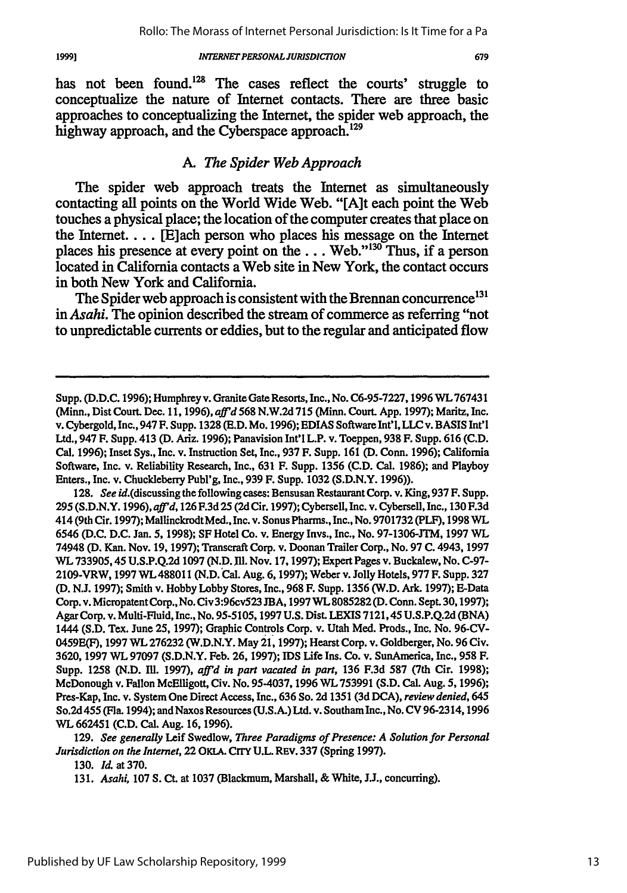has not been found.<sup>128</sup> The cases reflect the courts' struggle to conceptualize the nature of Internet contacts. There are three basic approaches to conceptualizing the Internet, the spider web approach, the highway approach, and the Cyberspace approach.<sup>129</sup>

# *A. The Spider Web Approach*

The spider web approach treats the Internet as simultaneously contacting all points on the World Wide Web. "[A]t each point the Web touches a physical place; the location of the computer creates that place on the Internet.... [E]ach person who places his message on the Internet places his presence at every point on the  $\dots$  Web."<sup>130</sup> Thus, if a person located in California contacts a Web site in New York, the contact occurs in both New York and California.

The Spider web approach is consistent with the Brennan concurrence<sup>131</sup> in *Asahi.* The opinion described the stream of commerce as referring "not to unpredictable currents or eddies, but to the regular and anticipated flow

**128.** *See* id.(discussing the following cases: Bensusan Restaurant Corp. v. King, **937** F. Supp. **295** (S.D.N.Y. **1996),** *aft'd,* **126 F.3d 25 (2d** Cir. **1997);** Cybersell, Inc. v. Cybersell, Inc., **130** F.3d 414 (9th Cir. **1997);** MallinckrodtMed., Inc. v. Sonus Pharms., Inc., No. **9701732** (PLF), **1998** WL **6546 (D.C.** D.C. Jan. **5, 1998); SF** Hotel Co. v. Energy Invs., Inc., No. **97-1306-JTM, 1997** WL 74948 **(D.** Kan. Nov. **19, 1997);** Transcraft Corp. v. Doonan Trailer Corp., No. **97 C.** 4943, 1997 WL **733905,45** U.S.P.Q.2d **1097** (N.D. **Ill.** Nov. **17,1997);** Expert Pages v. Buckalew, No. **C-97-** 2109-VRW, **1997** WL488011 **(N.D.** Cal. Aug. **6, 1997);** Weber v. Jolly Hotels, **977** F. Supp. **327 (D.** N.J. **1997);** Smith v. Hobby Lobby Stores, Inc., **968** F. Supp. **1356** (W.D. Ark. **1997);** E-Data Corp. v. Micropatent Corp., No. Civ 3:96cv523 JBA, **1997** WL **8085282 (D.** Conn. Sept. **30,1997);** Agar Corp. v. Multi-Fluid, Inc., No. **95-5105,1997** U.S. Dist. **LEXIS** 7121,45 U.S.P.Q.2d **(BNA)** 1444 (S.D. Tex. June 25, **1997);** Graphic Controls Corp. v. Utah Med. Prods., Inc. No. **96-CV-**0459E(F), **1997** WL **276232** (W.D.N.Y. May 21, **1997);** Hearst Corp. v. Goldberger, No. **96** Civ. **3620, 1997** WL **97097** (S.D.N.Y. Feb. **26, 1997);** IDS Life Ins. Co. v. SunAmerica, Inc., **958** F. Supp. 1258 (N.D. M11. **1997),** *affrd in part vacated in part,* **136 F.3d 587** (7th Cir. 1998); McDonough v. Fallon McElligott, Civ. No. **95-4037, 1996** WL **753991 (S.D.** Cal. Aug. 5, **1996);** Pres-Kap, Inc. v. System One Direct Access, Inc., **636** So. **2d** 1351 **(3d DCA),** *review denied, 645* So.2d 455 (Fla. 1994); and Naxos Resources (U.S.A.) Ltd. v. Southam Inc., No. **CV 96-2314,1996** WL **662451 (C.D.** Cal. Aug. **16, 1996).**

**129.** *See generally* Leif Swedlow, *Three Paradigms of Presence: A Solution for Personal Jurisdiction on the Internet,* 22 **OKLA. CrrY U.L. REV. 337** (Spring **1997).**

**130.** *Id.* at **370.**

**131.** *Asahi,* **107 S.** Ct. at **1037** (Blackmum, Marshall, **&** White, **J.J.,** concurring).

19991

Supp. (D.D.C. 1996); Humphrey v. Granite Gate Resorts, Inc., No. C6-95-7227,1996 WL767431 (Minn., Dist Court. Dec. **11, 1996),** *aff'd* **568** N.W.2d **715** (Minn. Court. App. **1997);** Maritz, Inc. v. Cybergold, Inc., 947 F. Supp. **1328 (E.D.** Mo. **1996);** EDIAS Software Int'l, **LLC** v. **BASIS** Int'l Ltd., 947 **F.** Supp. 413 (D. Ariz. **1996);** Panavision Int'l L.P. v. Toeppen, **938** F. Supp. **616 (C.D.** Cal. **1996);** Inset Sys., Inc. v. Instruction Set, Inc., **937** F. Supp. **161 (D.** Conn. **1996);** California Software, Inc. v. Reliability Research, Inc., **631** F. Supp. **1356 (C.D.** Cal. 1986); and Playboy Enters., Inc. v. Chuckleberry Publ'g, Inc., **939** F. Supp. **1032** (S.D.N.Y. **1996)).**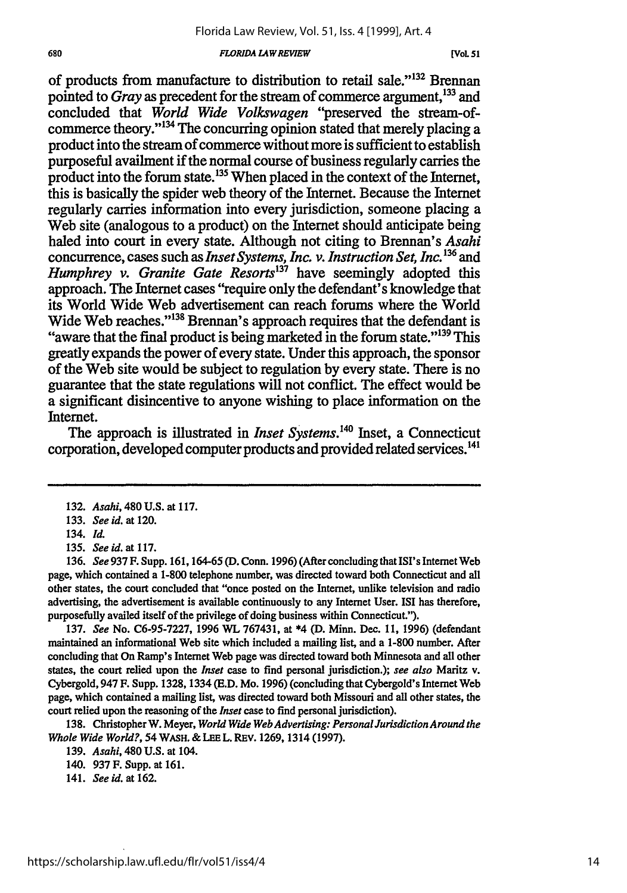of products from manufacture to distribution to retail sale."<sup>132</sup> Brennan pointed to *Gray* as precedent for the stream of commerce argument, <sup>133</sup> and concluded that *World Wide Volkswagen* "preserved the stream-ofcommerce theory."<sup>134</sup> The concurring opinion stated that merely placing a product into the stream of commerce without more is sufficient to establish purposeful availment if the normal course of business regularly carries the product into the forum state. 135 When placed in the context of the Internet, this is basically the spider web theory of the Internet. Because the Internet regularly carries information into every jurisdiction, someone placing a Web site (analogous to a product) on the Internet should anticipate being haled into court in every state. Although not citing to Brennan's *Asahi* concurrence, cases such as *Inset Systems, Inc. v. Instruction Set, Inc. <sup>36</sup>*and *Humphrey v. Granite Gate Resorts137* have seemingly adopted this approach. The Internet cases "require only the defendant's knowledge that its World Wide Web advertisement can reach forums where the World Wide Web reaches."<sup>138</sup> Brennan's approach requires that the defendant is "aware that the final product is being marketed in the forum state."<sup>139</sup> This greatly expands the power of every state. Under this approach, the sponsor of the Web site would be subject to regulation by every state. There is no guarantee that the state regulations will not conflict. The effect would be a significant disincentive to anyone wishing to place information on the Internet.

The approach is illustrated in *Inset Systems*.<sup>140</sup> Inset, a Connecticut corporation, developed computer products and provided related services.<sup>141</sup>

133. *See id.* at 120.

134. *Id.*

135. See id. at 117.

136. *See* 937 F. Supp. 161,164-65 (D. Conn. 1996) (After concluding that ISI's Internet Web page, which contained a 1-800 telephone number, was directed toward both Connecticut and all other states, the court concluded that "once posted on the Internet, unlike television and radio advertising, the advertisement is available continuously to any Internet User. ISI has therefore, purposefully availed itself of the privilege of doing business within Connecticut.").

137. *See* No. C6-95-7227, 1996 WL 767431, at \*4 (D. Minn. Dec. 11, 1996) (defendant maintained an informational Web site which included a mailing list, and a 1-800 number. After concluding that On Ramp's Internet Web page was directed toward both Minnesota and all other states, the court relied upon the *Inset* case to find personal jurisdiction.); *see also* Maritz v. Cybergold, 947 F. Supp. 1328, 1334 (E.D. Mo. 1996) (concluding that Cybergold's Internet Web page, which contained a mailing list, was directed toward both Missouri and all other states, the court relied upon the reasoning of the *Inset* case to find personal jurisdiction).

138. Christopher W. Meyer, *World Wide Web Advertising: PersonalJurisdictionAround the Whole Wide World?,* 54 WASH. & LEE L. REv. 1269, 1314 (1997).

140. 937 F. Supp. at 161.

141. *See id.* at 162.

<sup>132.</sup> *Asahi,* 480 U.S. at 117.

<sup>139.</sup> *Asahi,* 480 U.S. at 104.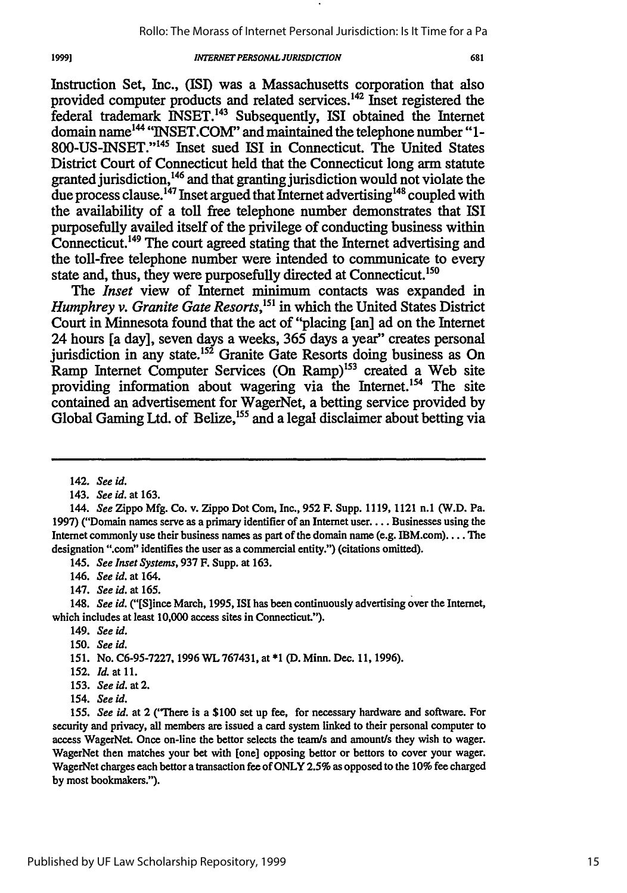Instruction Set, Inc., **(ISI)** was a Massachusetts corporation that also provided computer products and related services. 42 Inset registered the federal trademark INSET. 43 Subsequently, ISI obtained the Internet domain name<sup>144</sup> "INSET.COM" and maintained the telephone number "1-**800-US-INSET."' 45** Inset sued ISI in Connecticut. The United States District Court of Connecticut held that the Connecticut long arm statute granted jurisdiction,<sup>146</sup> and that granting jurisdiction would not violate the due process clause.<sup>147</sup> Inset argued that Internet advertising<sup>148</sup> coupled with the availability of a toll free telephone number demonstrates that ISI purposefully availed itself of the privilege of conducting business within Connecticut. **149** The court agreed stating that the Internet advertising and the toll-free telephone number were intended to communicate to **every** state and, thus, they were purposefully directed at Connecticut.<sup>150</sup>

The *Inset* view of Internet minimum contacts was expanded in *Humphrey v. Granite Gate Resorts*,<sup>151</sup> in which the United States District Court in Minnesota found that the act of "placing [an] ad on the Internet 24 hours [a day], seven days a weeks, **365** days a year" creates personal jurisdiction in any state.<sup>152</sup> Granite Gate Resorts doing business as On Ramp Internet Computer Services (On Ramp)<sup>153</sup> created a Web site providing information about wagering via the Internet.<sup>154</sup> The site contained an advertisement for WagerNet, a betting service provided **by** Global Gaming Ltd. of Belize,<sup>155</sup> and a legal disclaimer about betting via

19991

145. *See Inset Systems,* 937 F. Supp. at 163.

146. *See id.* at 164.

147. *See id.* at 165.

148. *See id.* ("[S]ince March, 1995, ISI has been continuously advertising over the Internet, which includes at least 10,000 access sites in Connecticut.").

- 149. *See id.*
- **150.** *See id.*

151. No. C6-95-7227, 1996 WL 767431, at \*1 (D. Minn. Dec. 11, 1996).

- 152. *Id.* at **11.**
- 153. *See id.* at 2.
- 154. *See id.*

155. *See id.* at 2 ('There is a \$100 set up fee, for necessary hardware and software. For security and privacy, all members are issued a card system linked to their personal computer to access WagerNet. Once on-line the bettor selects the team/s and amount/s they wish to wager. WagerNet then matches your bet with [one] opposing bettor or bettors to cover your wager. WagerNet charges each bettor a transaction fee of ONLY 2.5% as opposed to the 10% fee charged by most bookmakers.").

<sup>142.</sup> *See id.*

<sup>143.</sup> *See id.* at 163.

<sup>144.</sup> *See* Zippo Mfg. Co. v. Zippo Dot Corn, Inc., **952** F. Supp. 1119, 1121 n.1 (W.D. Pa. 1997) ("Domain names serve as a primary identifier of an Internet user... Businesses using the Internet commonly use their business names as part of the domain name (e.g. IBM.com).... The designation ".com" identifies the user as a commercial entity.") (citations omitted).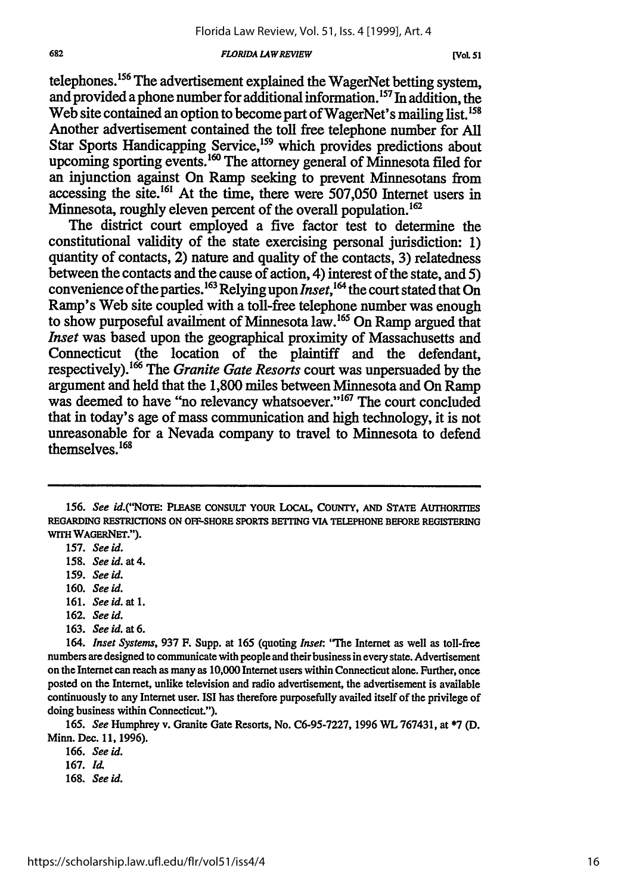telephones.'56 The advertisement explained the WagerNet betting system, and provided a phone number for additional information.<sup>157</sup> In addition, the Web site contained an option to become part of WagerNet's mailing list.<sup>158</sup> Another advertisement contained the toll free telephone number for All Star Sports Handicapping Service,<sup>159</sup> which provides predictions about upcoming sporting events.<sup>160</sup> The attorney general of Minnesota filed for an injunction against On Ramp seeking to prevent Minnesotans from accessing the site.<sup>161</sup> At the time, there were 507,050 Internet users in Minnesota, roughly eleven percent of the overall population.<sup>162</sup>

The district court employed a five factor test to determine the constitutional validity of the state exercising personal jurisdiction: 1) quantity of contacts, 2) nature and quality of the contacts, 3) relatedness between the contacts and the cause of action, 4) interest of the state, and 5) convenience of the parties.<sup>163</sup> Relying upon *Inset*,<sup>164</sup> the court stated that On Ramp's Web site coupled with a toll-free telephone number was enough to show purposeful availment of Minnesota law.<sup>165</sup> On Ramp argued that *Inset* was based upon the geographical proximity of Massachusetts and Connecticut (the location of the plaintiff and the defendant, respectively).<sup>1</sup> 6 The *Granite Gate Resorts* court was unpersuaded by the argument and held that the 1,800 miles between Minnesota and On Ramp was deemed to have "no relevancy whatsoever."<sup>167</sup> The court concluded that in today's age of mass communication and high technology, it is not unreasonable for a Nevada company to travel to Minnesota to defend themselves.<sup>168</sup>

- 161. *See id.* at 1.
- **162.** *See id.*
- **163.** *See id.* at *6.*

166. *See id.*

168. *See* **id.**

<sup>156.</sup> See id.("NOTE: PLEASE CONSULT YOUR LOCAL, COUNTY, AND STATE AUTHORITIES **REGARDING RESTRICTIONS ON OFF-SHORE SPORTS BETrING VIA TELEPHONE BEFORE REGISTERING WrrHWAGERNET.").**

<sup>157.</sup> *See id.*

<sup>158.</sup> *See id. at 4.*

<sup>159.</sup> *See id.*

**<sup>160.</sup>** *See id.*

<sup>164.</sup> *Inset Systems,* **937** F. Supp. at 165 (quoting *Inset.* **"The** Internet as well as toll-free numbers are designed to communicate with people and their business in every state. Advertisement on the Internet can reach as many as **10,000** Internet users within Connecticut alone. Further, once posted on the Internet, unlike television and radio advertisement, the advertisement is available continuously to any Internet user. **ISI** has therefore purposefully availed itself of the privilege of doing business within Connecticut.").

*<sup>165.</sup> See* Humphrey v. Granite Gate Resorts, No. C6-95-7227, 1996 WL 767431, at \*7 (D. Minn. Dec. 11, 1996).

<sup>167.</sup> *Id.*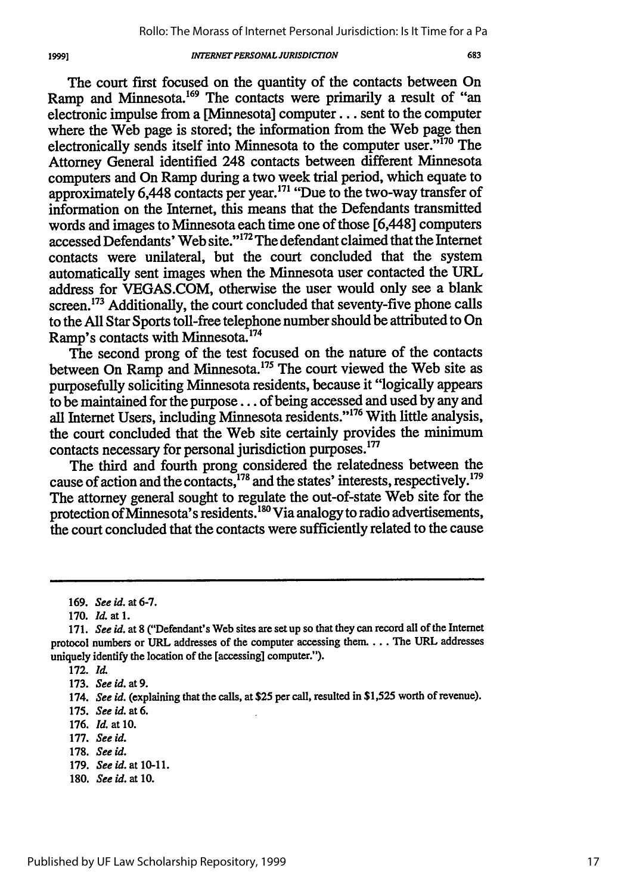The court first focused on the quantity of the contacts between On Ramp and Minnesota.<sup>169</sup> The contacts were primarily a result of "an electronic impulse from a [Minnesota] computer.., sent to the computer where the Web page is stored; the information from the Web page then electronically sends itself into Minnesota to the computer user."170 The Attorney General identified 248 contacts between different Minnesota computers and On Ramp during a two week trial period, which equate to approximately 6,448 contacts per year.<sup>171</sup> "Due to the two-way transfer of information on the Internet, this means that the Defendants transmitted words and images to Minnesota each time one of those [6,448] computers accessed Defendants' Web site."172 The defendant claimed that the Internet contacts were unilateral, but the court concluded that the system automatically sent images when the Minnesota user contacted the URL address for VEGAS.COM, otherwise the user would only see a blank screen.<sup>173</sup> Additionally, the court concluded that seventy-five phone calls to the All Star Sports toll-free telephone number should be attributed to On Ramp's contacts with Minnesota.<sup>174</sup>

The second prong of the test focused on the nature of the contacts between On Ramp and Minnesota.<sup>175</sup> The court viewed the Web site as purposefully soliciting Minnesota residents, because it "logically appears to be maintained for the purpose... of being accessed and used by any and all Internet Users, including Minnesota residents."'176 With little analysis, the court concluded that the Web site certainly provides the minimum contacts necessary for personal jurisdiction purposes.<sup>177</sup>

The third and fourth prong considered the relatedness between the cause of action and the contacts, <sup>178</sup> and the states' interests, respectively.<sup>179</sup> The attorney general sought to regulate the out-of-state Web site for the protection of Minnesota's residents. **"o** Via analogy to radio advertisements, the court concluded that the contacts were sufficiently related to the cause

19991

**180.** *See* id. at 10.

<sup>169.</sup> *See id.* at 6-7.

<sup>170.</sup> *Id.* at **1.**

*<sup>171.</sup> See id.* at 8 ("Defendant's Web sites are setup so that they can record all of the Internet protocol numbers or URL addresses of the computer accessing them... The URL addresses uniquely identify the location of the [accessing] computer.").

<sup>172.</sup> *Id.*

<sup>173.</sup> *See id. at 9.*

<sup>174.</sup> *See id.* (explaining that the calls, at **\$25** per call, resulted in \$1,525 worth of revenue).

<sup>175.</sup> Seeid. *at6.*

<sup>176.</sup> *Id.* at 10.

<sup>177.</sup> See id.

<sup>178.</sup> *See id.*

<sup>179.</sup> *Seeid.* at 10-11.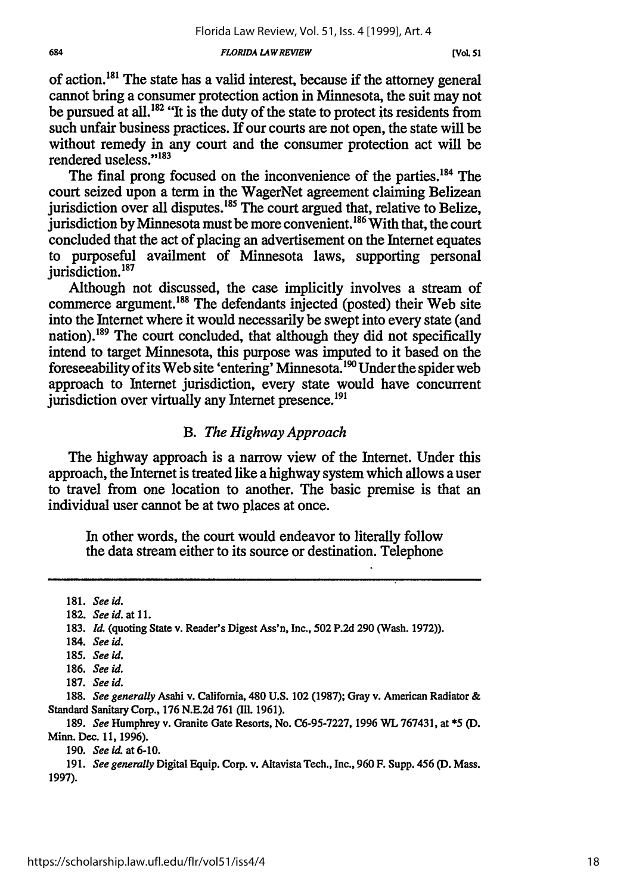of action.<sup>181</sup> The state has a valid interest, because if the attorney general cannot bring a consumer protection action in Minnesota, the suit may not be pursued at all.<sup>182</sup> "It is the duty of the state to protect its residents from such unfair business practices. If our courts are not open, the state will be without remedy in any court and the consumer protection act will be rendered useless."<sup>183</sup>

The final prong focused on the inconvenience of the parties.<sup>184</sup> The court seized upon a term in the WagerNet agreement claiming Belizean jurisdiction over all disputes.<sup>185</sup> The court argued that, relative to Belize, jurisdiction by Minnesota must be more convenient. **186** With that, the court concluded that the act of placing an advertisement on the Internet equates to purposeful availment of Minnesota laws, supporting personal  $i$ urisdiction.<sup>187</sup>

Although not discussed, the case implicitly involves a stream of commerce argument.<sup>188</sup> The defendants injected (posted) their Web site into the Internet where it would necessarily be swept into every state (and nation).<sup>189</sup> The court concluded, that although they did not specifically intend to target Minnesota, this purpose was imputed to it based on the foreseeability of its Web site 'entering' Minnesota. **"** Under the spider web approach to Internet jurisdiction, every state would have concurrent jurisdiction over virtually any Internet presence.<sup>191</sup>

# B. *The Highway Approach*

The highway approach is a narrow view of the Internet. Under this approach, the Internet is treated like a highway system which allows a user to travel from one location to another. The basic premise is that an individual user cannot be at two places at once.

In other words, the court would endeavor to literally follow the data stream either to its source or destination. Telephone

<sup>181.</sup> *See id.*

<sup>182.</sup> *See id. at 11.*

<sup>183.</sup> **Id.** (quoting State v. Reader's Digest Ass'n, Inc., 502 P.2d 290 (Wash. 1972)).

<sup>184.</sup> *See id.*

**<sup>185.</sup>** *See id.*

<sup>186.</sup> *See id.*

<sup>187.</sup> *See id.*

<sup>188.</sup> *See generally* Asahi v. California, 480 U.S. 102 (1987); Gray v. American Radiator & Standard Sanitary Corp., 176 N.E.2d 761 (Il. 1961).

<sup>189.</sup> *See* Humphrey v. Granite Gate Resorts, No. C6-95-7227, 1996 WL 767431, at \*5 (D. Minn. Dec. **11,** 1996).

<sup>190.</sup> *See id.* at 6-10.

<sup>191.</sup> *See generally* Digital Equip. Corp. v. Altavista Tech., Inc., 960 F. Supp. 456 (D. Mass. 1997).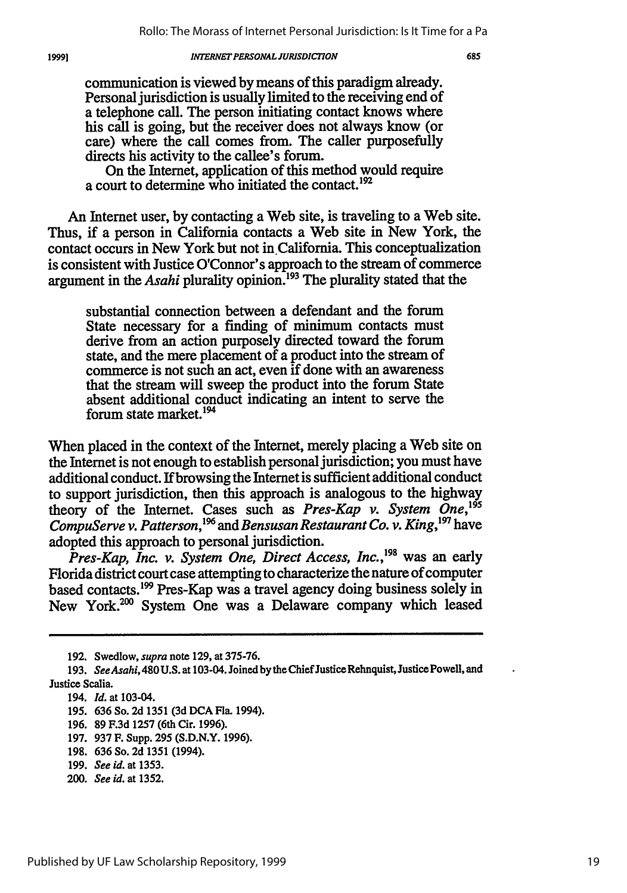communication is viewed by means of this paradigm already. Personal jurisdiction is usually limited to the receiving end of a telephone call. The person initiating contact knows where his call is going, but the receiver does not always know (or care) where the call comes from. The caller purposefully directs his activity to the callee's forum.

On the Internet, application of this method would require a court to determine who initiated the contact.<sup>192</sup>

An Internet user, by contacting a Web site, is traveling to a Web site. Thus, if a person in California contacts a Web site in New York, the contact occurs in New York but not in California. This conceptualization is consistent with Justice O'Connor's approach to the stream of commerce argument in the *Asahi* plurality opinion. 193 The plurality stated that the

substantial connection between a defendant and the forum State necessary for a finding of minimum contacts must derive from an action purposely directed toward the forum state, and the mere placement of a product into the stream of commerce is not such an act, even if done with an awareness that the stream will sweep the product into the forum State absent additional conduct indicating an intent to serve the forum state market.<sup>194</sup>

When placed in the context of the Internet, merely placing a Web site on the Internet is not enough to establish personal jurisdiction; you must have additional conduct. If browsing the Internet is sufficient additional conduct to support jurisdiction, then this approach is analogous to the highway theory of the Internet. Cases such as *Pres-Kap v. System One,195 CompuServe v. Patterson,196 and Bensusan Restaurant Co. v. King,197* have adopted this approach to personal jurisdiction.

*Pres-Kap, Inc. v. System One, Direct Access, Inc.*,<sup>198</sup> was an early Florida district court case attempting to characterize the nature of computer based contacts.199 Pres-Kap was a travel agency doing business solely in New York.<sup>200</sup> System One was a Delaware company which leased

200. *See id.* at 1352.

<sup>192.</sup> Swedlow, supra note 129, at 375-76.

<sup>193.</sup> *See Asahi,* 480 U.S. at 103-04. Joined **by** the Chief Justice Rehnquist, Justice Powell, and Justice Scalia.

<sup>194.</sup> *Id.* at 103-04.

<sup>195. 636</sup> So. **2d** 1351 **(3d DCA** Fla. 1994).

<sup>196. 89</sup> F.3d 1257 (6th Cir. 1996).

<sup>197. 937</sup> F. Supp. 295 (\$.D.N.Y. 1996).

<sup>198. 636</sup> So. **2d** 1351 (1994).

<sup>199.</sup> *See id.* at 1353.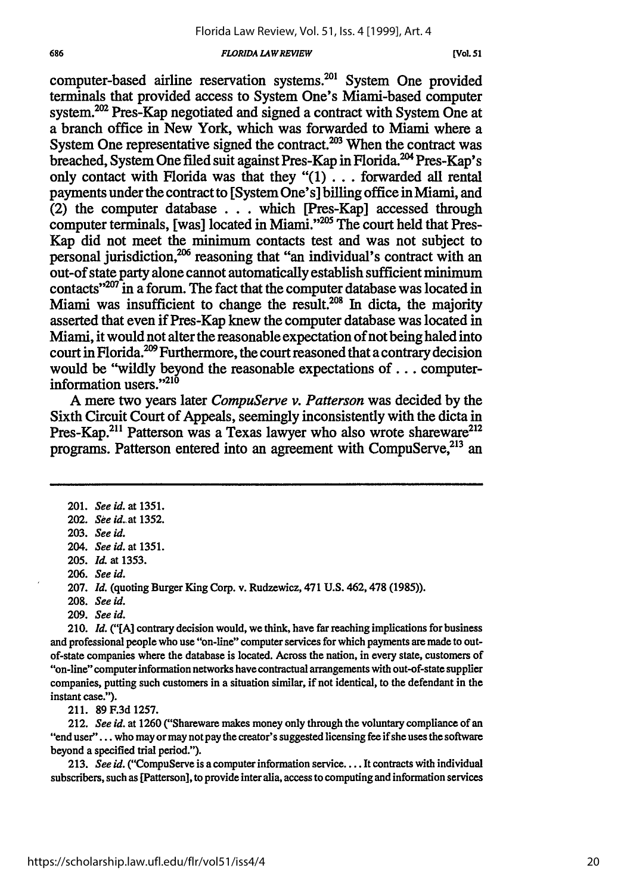**[Vol. 51**

computer-based airline reservation systems.<sup>201</sup> System One provided terminals that provided access to System One's Miami-based computer system.<sup>202</sup> Pres-Kap negotiated and signed a contract with System One at a branch office in New York, which was forwarded to Miami where a System One representative signed the contract.<sup>203</sup> When the contract was breached, System One filed suit against Pres-Kap in Florida.<sup>204</sup> Pres-Kap's only contact with Florida was that they "(1)... forwarded all rental payments under the contract to [System One's] billing office in Miami, and (2) the computer database . . . which [Pres-Kap] accessed through computer terminals, [was] located in Miami."<sup>205</sup> The court held that Pres-Kap did not meet the minimum contacts test and was not subject to personal jurisdiction, $206$  reasoning that "an individual's contract with an out-of state party alone cannot automatically establish sufficient minimum contacts" $207$  in a forum. The fact that the computer database was located in Miami was insufficient to change the result.<sup>208</sup> In dicta, the majority asserted that even if Pres-Kap knew the computer database was located in Miami, it would not alter the reasonable expectation of not being haled into court in Florida.<sup>209</sup> Furthermore, the court reasoned that a contrary decision would be "wildly beyond the reasonable expectations of... computerinformation users."<sup>210</sup>

A mere two years later *CompuServe v. Patterson* was decided by the Sixth Circuit Court of Appeals, seemingly inconsistently with the dicta in Pres-Kap.<sup>211</sup> Patterson was a Texas lawyer who also wrote shareware<sup>212</sup> programs. Patterson entered into an agreement with CompuServe,<sup>213</sup> an

205. *Id* at 1353.

208. *See id.*

209. *See id.*

210. *Id.* ("[A] contrary decision would, we think, have far reaching implications for business and professional people who use "on-line" computer services for which payments are made to outof-state companies where the database is located. Across the nation, in every state, customers of "on-line" computer information networks have contractual arrangements with out-of-state supplier companies, putting such customers in a situation similar, if not identical, to the defendant in the instant case.").

211. 89F.3d 1257.

212. *See id.* at 1260 ("Shareware makes money only through the voluntary compliance of an "end user". **..** who may or may not pay the creator's suggested licensing fee if she uses the software beyond a specified trial period.").

213. *See id.* ("CompuServe is a computer information service.... It contracts with individual subscribers, such as [Patterson], to provide inter alia, access to computing and information services

<sup>201.</sup> *See id. at* **1351.**

<sup>202.</sup> *See id.* at **1352.**

<sup>203.</sup> *See id.*

<sup>204.</sup> *See id.* at 1351.

<sup>206.</sup> *See id.*

<sup>207.</sup> *Id.* (quoting Burger King Corp. v. Rudzewicz, 471 U.S. 462,478 (1985)).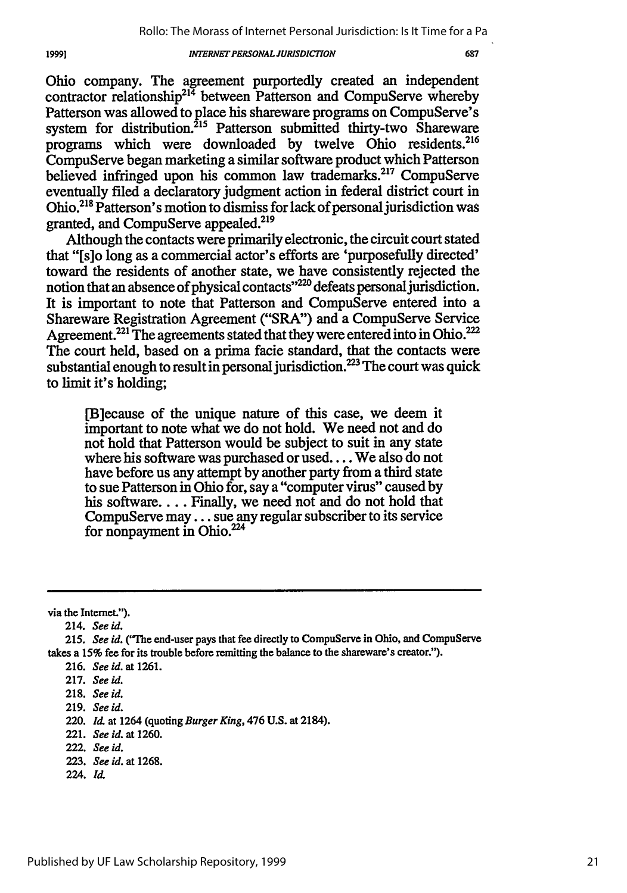Ohio company. The agreement purportedly created an independent contractor relationship<sup>214</sup> between Patterson and CompuServe whereby Patterson was allowed to place his shareware programs on CompuServe's system for distribution.<sup>215</sup> Patterson submitted thirty-two Shareware programs which were downloaded by twelve Ohio residents.<sup>216</sup> CompuServe began marketing a similar software product which Patterson believed infringed upon his common law trademarks.<sup>217</sup> CompuServe eventually filed a declaratory judgment action in federal district court in Ohio.<sup>218</sup> Patterson's motion to dismiss for lack of personal jurisdiction was granted, and CompuServe appealed.<sup>219</sup>

Although the contacts were primarily electronic, the circuit court stated that "[s]o long as a commercial actor's efforts are 'purposefully directed' toward the residents of another state, we have consistently rejected the notion that an absence of physical contacts"<sup>220</sup> defeats personal jurisdiction. It is important to note that Patterson and CompuServe entered into a Shareware Registration Agreement ("SRA") and a CompuServe Service Agreement.<sup>221</sup> The agreements stated that they were entered into in Ohio.<sup>222</sup> The court held, based on a prima facie standard, that the contacts were substantial enough to result in personal jurisdiction.<sup>223</sup> The court was quick to limit it's holding;

[B]ecause of the unique nature of this case, we deem it important to note what we do not hold. We need not and do not hold that Patterson would be subject to suit in any state where his software was purchased or used... We also do not have before us any attempt by another party from a third state to sue Patterson in Ohio for, say a "computer virus" caused by his software.... Finally, we need not and do not hold that CompuServe may... sue any regular subscriber to its service for nonpayment in Ohio.<sup>224</sup>

via the Internet.").

19991

- 221. *See id.* at 1260.
- 222. *See id.*
- 223. *See id.* at 1268.
- 224. Id.

<sup>214.</sup> *See id.*

*<sup>215.</sup> See id.* ("The end-user pays that fee directly to CompuServe in Ohio, and CompuServe takes a 15% fee for its trouble before remitting the balance to the shareware's creator.").

<sup>216.</sup> *See id.* at 1261.

<sup>217.</sup> *See id.*

<sup>218.</sup> *See id.*

<sup>219.</sup> *See* id.

<sup>220.</sup> *Id.* at 1264 (quoting *Burger King,* 476 U.S. at 2184).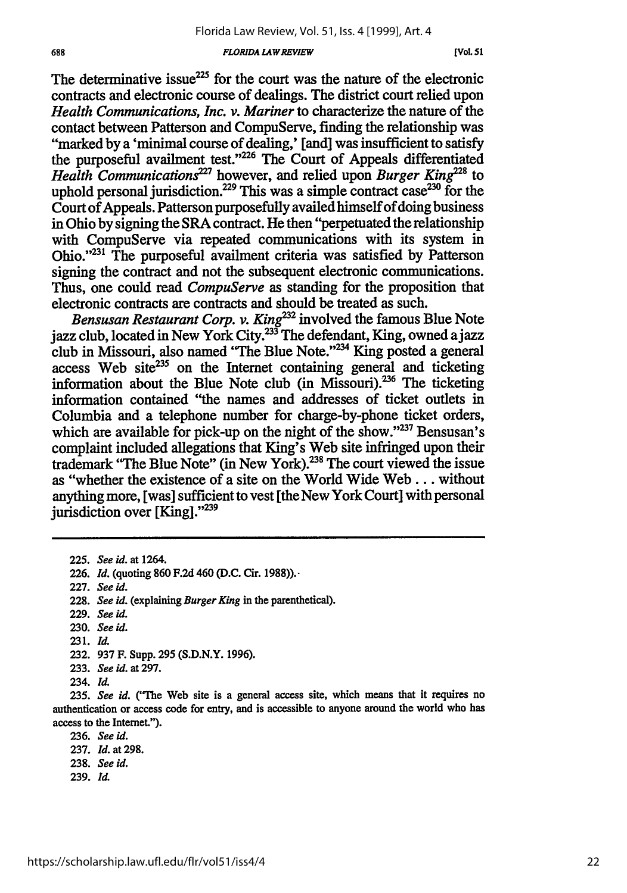**[Vol. 5 1**

The determinative issue $^{225}$  for the court was the nature of the electronic contracts and electronic course of dealings. The district court relied upon *Health Communications, Inc. v. Mariner* to characterize the nature of the contact between Patterson and CompuServe, finding the relationship was "marked by a 'minimal course of dealing,' [and] was insufficient to satisfy the purposeful availment test."<sup>226</sup> The Court of Appeals differentiated *Health Communications*<sup>227</sup> however, and relied upon *Burger King*<sup>228</sup> to uphold personal jurisdiction.<sup>229</sup> This was a simple contract case<sup>230</sup> for the Court of Appeals. Patterson purposefully availed himself of doing business in Ohio by signing the SRA contract. He then "perpetuated the relationship with CompuServe via repeated communications with its system in Ohio."'23' The purposeful availment criteria was satisfied by Patterson signing the contract and not the subsequent electronic communications. Thus, one could read *CompuServe* as standing for the proposition that electronic contracts are contracts and should be treated as such.

*Bensusan Restaurant Corp. v. King*<sup>232</sup> involved the famous Blue Note jazz club, located in New York City. $33^{37}$ The defendant, King, owned a jazz club in Missouri, also named "The Blue Note."<sup>234</sup> King posted a general access Web site<sup>235</sup> on the Internet containing general and ticketing information about the Blue Note club (in Missouri).<sup>236</sup> The ticketing information contained "the names and addresses of ticket outlets in Columbia and a telephone number for charge-by-phone ticket orders, which are available for pick-up on the night of the show." $237$  Bensusan's complaint included allegations that King's Web site infringed upon their trademark "The Blue Note" (in New York).<sup>238</sup> The court viewed the issue as "whether the existence of a site on the World Wide Web... without anything more, [was] sufficient to vest [the New York Court] with personal jurisdiction over [King]."<sup>239</sup>

229. *See id.*

**231.** Id.

- 233. *See id.* at 297.
- 234. *Id.*

236. *See id.*

239. *Id.*

<sup>225.</sup> *See id.* at 1264.

<sup>226.</sup> *Id.* (quoting 860 F.2d 460 (D.C. Cir. 1988)).-

<sup>227.</sup> *See id.*

<sup>228.</sup> *See id.* (explaining *Burger King* in the parenthetical).

<sup>230.</sup> *See id.*

**<sup>232. 937</sup>** F. Supp. **295** (S.D.N.Y. 1996).

<sup>235.</sup> *See id.* ('he Web site is a general access site, which means that it requires no authentication or access code for entry, and is accessible to anyone around the world who has access to the Internet.").

<sup>237.</sup> *Id.* at 298.

<sup>238.</sup> *See id.*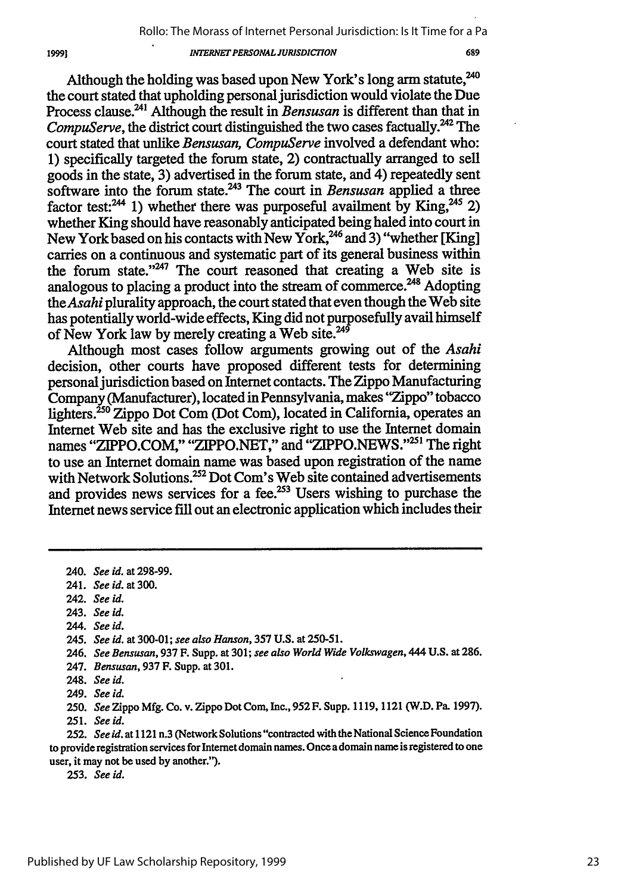Although the holding was based upon New York's long arm statute,<sup>240</sup> the court stated that upholding personal jurisdiction would violate the Due Process clause.<sup>241</sup> Although the result in *Bensusan* is different than that in *CompuServe,* the district court distinguished the two cases factually.<sup>242</sup> The court stated that unlike *Bensusan, CompuServe* involved a defendant who: **1)** specifically targeted the forum state, 2) contractually arranged to sell goods in the state, 3) advertised in the forum state, and 4) repeatedly sent software into the forum state.<sup>243</sup> The court in *Bensusan* applied a three factor test:<sup>244</sup> 1) whether there was purposeful availment by King,<sup>245</sup> 2) whether King should have reasonably anticipated being haled into court in New York based on his contacts with New York, <sup>246</sup> and 3) "whether [King] carries on a continuous and systematic part of its general business within the forum state." $247$  The court reasoned that creating a Web site is analogous to placing a product into the stream of commerce.<sup> $248$ </sup> Adopting *theAsahi* plurality approach, the court stated that even though the Web site has potentially world-wide effects, King did not purposefully avail himself of New York law by merely creating a Web site.<sup>249</sup>

Although most cases follow arguments growing out of the *Asahi* decision, other courts have proposed different tests for determining personal jurisdiction based on Internet contacts. The Zippo Manufacturing Company (Manufacturer), located in Pennsylvania, makes "Zippo" tobacco lighters.<sup>250</sup> Zippo Dot Com (Dot Com), located in California, operates an Internet Web site and has the exclusive right to use the Internet domain names "ZIPPO.COM," "ZIPPO.NET," and "ZIPPO.NEWS."<sup>251</sup> The right to use an Internet domain name was based upon registration of the name with Network Solutions.<sup>252</sup> Dot Com's Web site contained advertisements and provides news services for a fee. $253$  Users wishing to purchase the Internet news service fill out an electronic application which includes their

- 242. *See id.*
- 243. *See id.*
- 244. *See id.*

*246. See Bensusan,* 937 F. Supp. at 301; *see also World Wide Volkswagen,* 444 **U.S.** at 286.

250. *See* Zippo Mfg. Co. v. Zippo Dot Corn, Inc., **952** F. Supp. 1119, 1121 (W.D. Pa. 1997). 251. *See id.*

**252. See id.** at 1121 n.3 (Network Solutions "contracted with the National Science Foundation to provide registration services for Internet domain names. Once a domain name is registered to one user, it may not be used by another.").

253. *See id.*

19991

<sup>240.</sup> *See id.* at 298-99.

<sup>241.</sup> *See id. at 300.*

*<sup>245.</sup> See id.* at 300-01; *see also Hanson,* 357 **U.S.** at 250-51.

<sup>247.</sup> *Bensusan,* 937 F. Supp. at 301.

<sup>248.</sup> *See id.*

<sup>249.</sup> *See id.*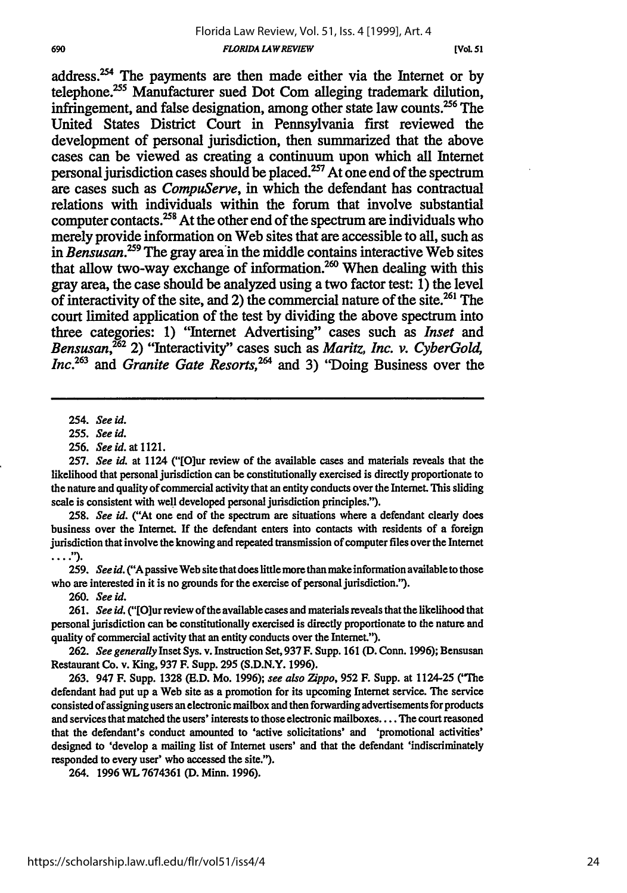address.<sup>254</sup> The payments are then made either via the Internet or by telephone.<sup>255</sup> Manufacturer sued Dot Com alleging trademark dilution, infringement, and false designation, among other state law counts.<sup>256</sup> The United States District Court in Pennsylvania first reviewed the development of personal jurisdiction, then summarized that the above cases can be viewed as creating a continuum upon which all Internet personal jurisdiction cases should be placed.<sup>257</sup> At one end of the spectrum are cases such as *CompuServe,* in which the defendant has contractual relations with individuals within the forum that involve substantial computer contacts.<sup>258</sup> At the other end of the spectrum are individuals who merely provide information on Web sites that are accessible to all, such as in *Bensusan*.<sup>259</sup> The gray area in the middle contains interactive Web sites that allow two-way exchange of information.<sup>260</sup> When dealing with this gray area, the case should be analyzed using a two factor test: **1)** the level of interactivity of the site, and 2) the commercial nature of the **site.261** The court limited application of the test **by** dividing the above spectrum into three categories: **1)** "Internet Advertising" cases such as *Inset* and *Bensusan,262* 2) "Interactivity" cases such as *Maritz, Inc. v. CyberGol, Inc. <sup>263</sup>*and *Granite Gate Resorts, <sup>264</sup>*and **3)** "Doing Business over the

**258.** *See id.* ("At one end of the spectrum are situations where a defendant clearly does business over the Internet. If the defendant enters into contacts with residents of a foreign jurisdiction that involve the knowing and repeated transmission of computer files over the Internet  $\ldots$ .").

259. *See* id. ("Apassive Web site that does little more than makeinformation availableto those who are interested in it is no grounds for the exercise of personal jurisdiction.").

*260. See id.*

261. *See id.* ("[O]ur review of the available cases and materials reveals that the likelihood that personal jurisdiction can be constitutionally exercised is directly proportionate to the nature and quality of commercial activity that an entity conducts over the Interet.").

**262.** *See generally* Inset Sys. v. Instruction Set, 937 F. Supp. 161 (D. Conn. 1996); Bensusan Restaurant Co. v. King, 937 F. Supp. **295** (S.D.N.Y. 1996).

263. 947 F. Supp. **1328 (E.D.** *Mo.* 1996); *see also 7ippo,* **952** F. Supp. at 1124-25 ('The defendant had put up a Web site as a promotion for its upcoming Internet service. The service consisted of assigning users an electronic mailbox and then forwarding advertisements for products and services that matched the users' interests to those electronic mailboxes .... The court reasoned that the defendant's conduct amounted to 'active solicitations' and 'promotional activities' designed to 'develop a mailing list of Internet users' and that the defendant 'indiscriminately responded **to every user' who accessed** the site.").

264. **1996 WL 7674361 (D.** Minn. **1996).**

<sup>254.</sup> *See id.*

<sup>255.</sup> *See id.*

<sup>256.</sup> *See id.* at 1121.

**<sup>257.</sup>** *See id.* at 1124 ("[O]ur review of the available cases and materials reveals that the likelihood that personal jurisdiction can be constitutionally exercised is directly proportionate to the nature and quality of commercial activity that an entity conducts over the Internet. This sliding scale is consistent with well developed personal jurisdiction principles.").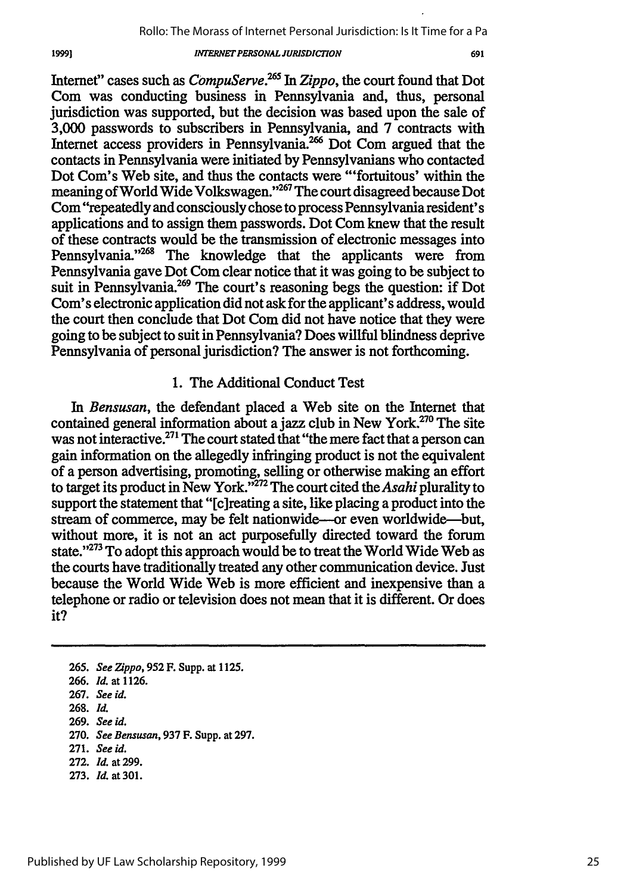691

Internet" cases such as *CompuServe.265 In Zippo,* the court found that Dot Com was conducting business in Pennsylvania and, thus, personal jurisdiction was supported, but the decision was based upon the sale of 3,000 passwords to subscribers in Pennsylvania, and **7** contracts with Internet access providers in Pennsylvania.<sup>266</sup> Dot Com argued that the contacts in Pennsylvania were initiated **by** Pennsylvanians who contacted Dot Com's Web site, and thus the contacts were "'fortuitous' within the meaning of World Wide Volkswagen."<sup>267</sup> The court disagreed because Dot Com "repeatedly and consciously chose to process Pennsylvania resident's applications and to assign them passwords. Dot **Corn** knew that the result of these contracts would be the transmission of electronic messages into Pennsylvania."<sup>268</sup> The knowledge that the applicants were from Pennsylvania gave Dot Com clear notice that it was going to be subject to suit in Pennsylvania.<sup>269</sup> The court's reasoning begs the question: if Dot Com's electronic application did not ask for the applicant's address, would the court then conclude that Dot Com did not have notice that they were going to be subject to suit in Pennsylvania? Does willful blindness deprive Pennsylvania of personal jurisdiction? The answer is not forthcoming.

# 1. The Additional Conduct Test

*In Bensusan,* the defendant placed a Web site on the Internet that contained general information about a jazz club in New York.<sup>270</sup> The site was not interactive.<sup>271</sup> The court stated that "the mere fact that a person can gain information on the allegedly infringing product is not the equivalent of a person advertising, promoting, selling or otherwise making an effort to target its product in New York."272 The court cited the *Asahi* plurality to support the statement that "[c]reating a site, like placing a product into the stream of commerce, may be felt nationwide-or even worldwide-but, without more, it is not an act purposefully directed toward the forum state."<sup>273</sup> To adopt this approach would be to treat the World Wide Web as the courts have traditionally treated any other communication device. Just because the World Wide Web is more efficient and inexpensive than a telephone or radio or television does not mean that it is different. Or does it?

- **265.** *See Zippo,* **952** F. Supp. at 1125.
- 266. *Id.* at 1126.
- **267.** *See id.*
- 268. *lit*
- 269. *See id.*
- 270. *See Bensusan,* 937 F. Supp. at 297.
- 271. *See id.*
- 272. *Id.* at 299.
- 273. *Id.* at 301.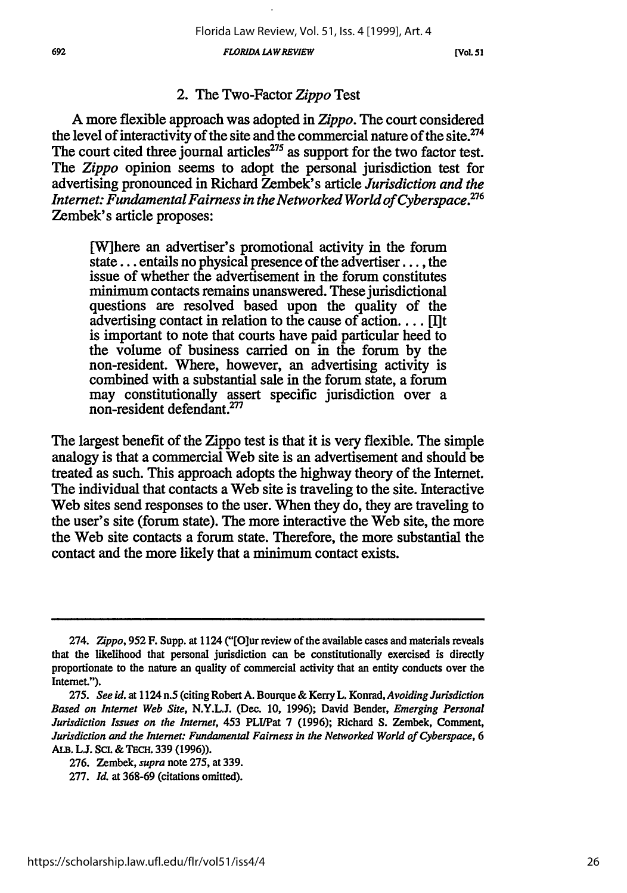*FLORIDA LAWREVIEW 692* **[VOL. 51**

# 2. The Two-Factor *Zippo* Test

**A** more flexible approach was adopted in *Zippo.* The court considered the level of interactivity of the site and the commercial nature of the site. $274$ The court cited three journal articles<sup> $275$ </sup> as support for the two factor test. The *Zippo* opinion seems to adopt the personal jurisdiction test for advertising pronounced in Richard Zembek's article *Jurisdiction and the Internet: Fundamental Fairness in the Networked World of Cyberspace.276* Zembek's article proposes:

[W]here an advertiser's promotional activity in the forum state... entails no physical presence of the advertiser..., the issue of whether the advertisement in the forum constitutes minimum contacts remains unanswered. These jurisdictional questions are resolved based upon the quality of the advertising contact in relation to the cause of action.... [Ilt is important to note that courts have paid particular heed to the volume of business carried on in the forum by the non-resident. Where, however, an advertising activity is combined with a substantial sale in the forum state, a forum may constitutionally assert specific jurisdiction over a non-resident defendant.<sup>2</sup>

The largest benefit of the Zippo test is that it is very flexible. The simple analogy is that a commercial Web site is an advertisement and should be treated as such. This approach adopts the highway theory of the Internet. The individual that contacts a Web site is traveling to the site. Interactive Web sites send responses to the user. When they do, they are traveling to the user's site (forum state). The more interactive the Web site, the more the Web site contacts a forum state. Therefore, the more substantial the contact and the more likely that a minimum contact exists.

<sup>274.</sup> *Zippo,* **952** F. Supp. at 1124 ('[O]ur review of the available cases and materials reveals that the likelihood that personal jurisdiction can be constitutionally exercised is directly proportionate to the nature an quality of commercial activity that an entity conducts over the Internet.").

**<sup>275.</sup>** *See id.* at 1124 n.5 (citing Robert A. Bourque & Kerry L. Konrad, *Avoiding Jurisdiction Based on Internet Web Site,* N.Y.L.J. (Dec. 10, 1996); David Bender, *Emerging Personal Jurisdiction Issues on the Internet,* 453 PLI/Pat 7 (1996); Richard **S.** Zembek, Comment, *Jurisdiction and the Internet: Fundamental Fairness in the Networked World of Cyberspace, 6* **ALB. L.J.** Sci. & **TEcH.** 339 (1996)).

<sup>276.</sup> Zembek, *supra* note 275, at 339.

<sup>277.</sup> *Id.* at 368-69 (citations omitted).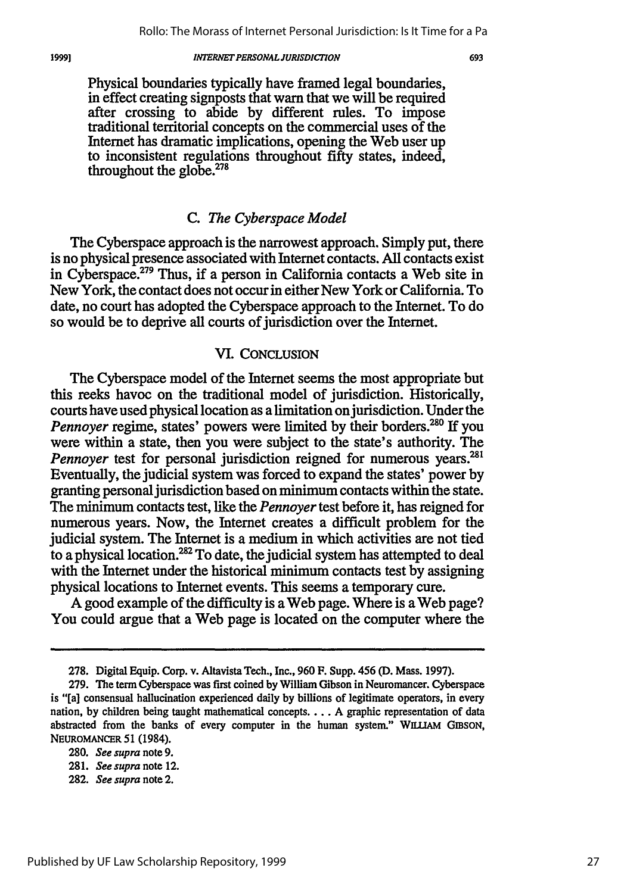Physical boundaries typically have framed legal boundaries, in effect creating signposts that warn that we will be required after crossing to abide by different rules. To impose traditional territorial concepts on the commercial uses of the Internet has dramatic implications, opening the Web user up to inconsistent regulations throughout fifty states, indeed, throughout the globe. $278$ 

# *C. The Cyberspace Model*

The Cyberspace approach is the narrowest approach. Simply put, there is no physical presence associated with Internet contacts. All contacts exist in Cyberspace.<sup>279</sup> Thus, if a person in California contacts a Web site in New York, the contact does not occur in either New York or California. To date, no court has adopted the Cyberspace approach to the Internet. To do so would be to deprive all courts of jurisdiction over the Internet.

### **VI. CONCLUSION**

The Cyberspace model of the Internet seems the most appropriate but this reeks havoc on the traditional model of jurisdiction. Historically, courts have used physical location as a limitation on jurisdiction. Under the *Pennoyer* regime, states' powers were limited by their borders.<sup>280</sup> If you were within a state, then you were subject to the state's authority. The *Pennoyer* test for personal jurisdiction reigned for numerous years.<sup>281</sup> Eventually, the judicial system was forced to expand the states' power by granting personal jurisdiction based on minimum contacts within the state. The minimum contacts test, like the *Pennoyer* test before it, has reigned for numerous years. Now, the Internet creates a difficult problem for the judicial system. The Internet is a medium in which activities are not tied to a physical location.<sup>282</sup> To date, the judicial system has attempted to deal with the Internet under the historical minimum contacts test by assigning physical locations to Internet events. This seems a temporary cure.

A good example of the difficulty is aWeb page. Where is aWeb page? You could argue that a Web page is located on the computer where the

**<sup>278.</sup>** Digital Equip. Corp. v. Altavista Tech., Inc., **960** F. Supp. 456 **(D.** Mass. **1997).**

**<sup>279.</sup>** The term Cyberspace was first coined **by** William Gibson in Neuromancer. Cyberspace is "[a] consensual hallucination experienced daily by billions of legitimate operators, in every nation, by children being taught mathematical concepts.... A graphic representation of data abstracted from the banks of every computer in the human system." WILLIAM GIBSON, NEUROMANCER **51** (1984).

<sup>280.</sup> *See supra* note 9.

<sup>281.</sup> *Seesupra* note 12.

<sup>282.</sup> *See supra* note 2.